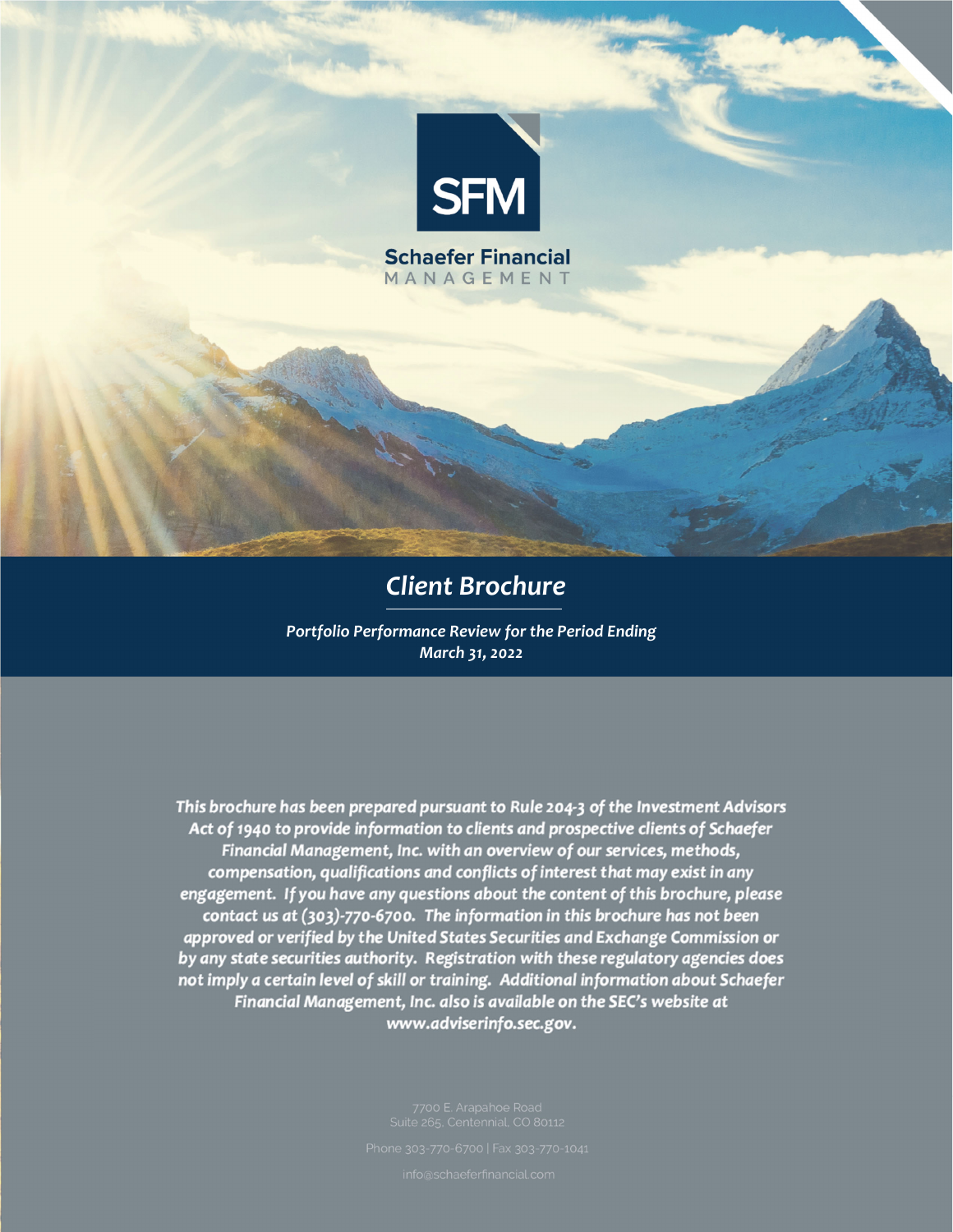

# *Client Brochure*

*Portfolio Performance Review for the Period Ending March 31, 2022*

This brochure has been prepared pursuant to Rule 204-3 of the Investment Advisors Act of 1940 to provide information to clients and prospective clients of Schaefer Financial Management, Inc. with an overview of our services, methods, compensation, qualifications and conflicts of interest that may exist in any engagement. If you have any questions about the content of this brochure, please contact us at (303)-770-6700. The information in this brochure has not been approved or verified by the United States Securities and Exchange Commission or by any state securities authority. Registration with these regulatory agencies does not imply a certain level of skill or training. Additional information about Schaefer Financial Management, Inc. also is available on the SEC's website at www.adviserinfo.sec.gov.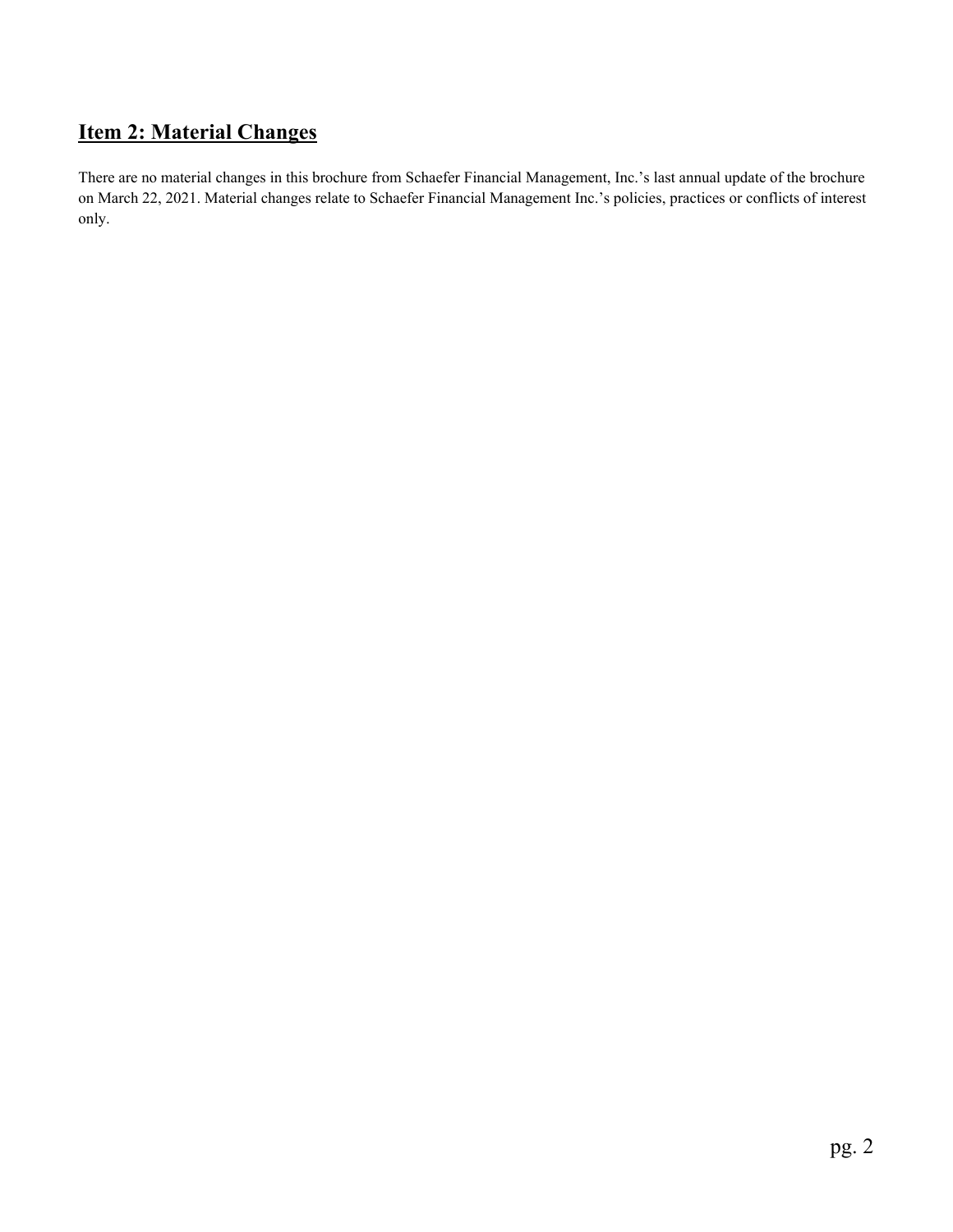# **Item 2: Material Changes**

There are no material changes in this brochure from Schaefer Financial Management, Inc.'s last annual update of the brochure on March 22, 2021. Material changes relate to Schaefer Financial Management Inc.'s policies, practices or conflicts of interest only.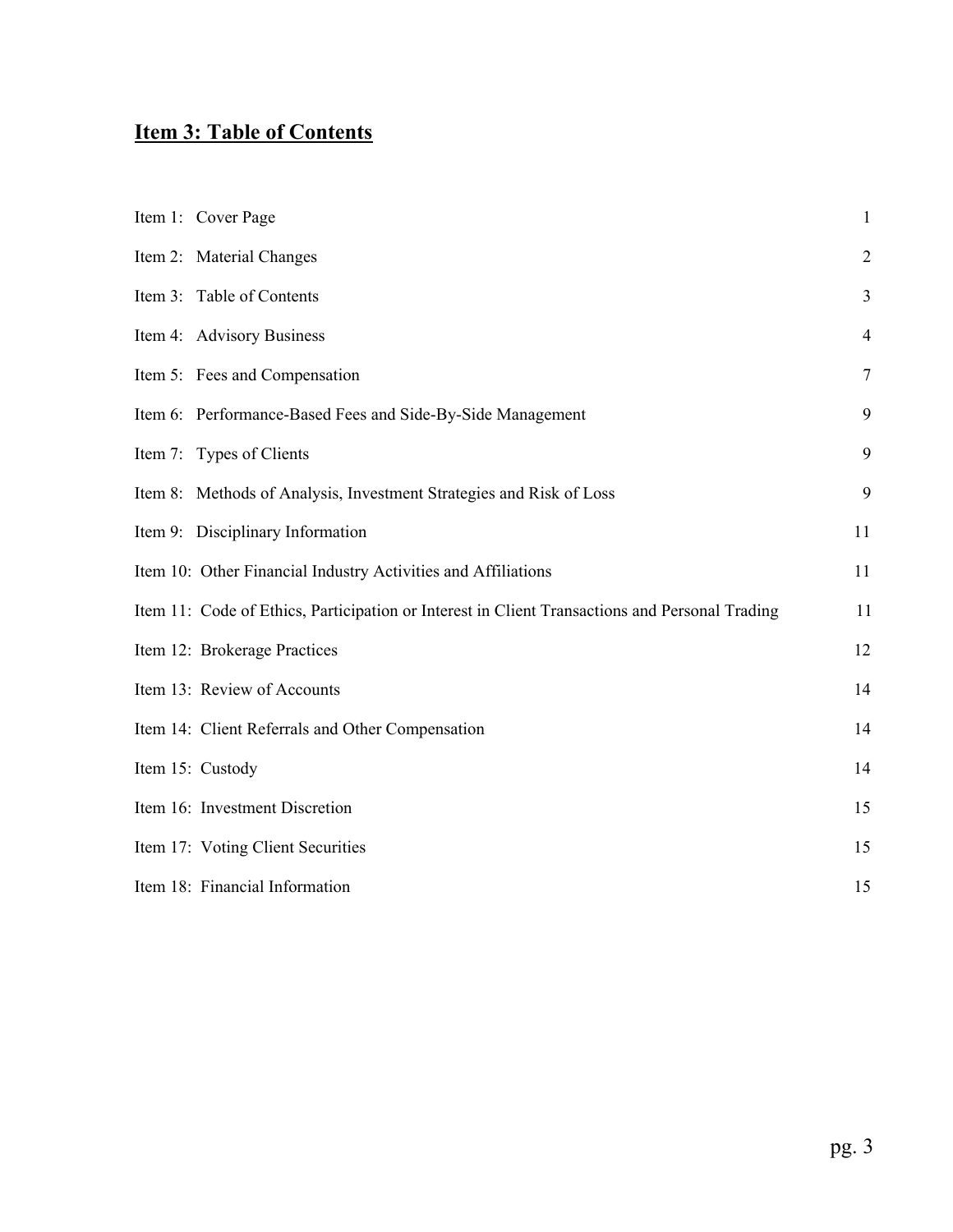# **Item 3: Table of Contents**

| Item 1: Cover Page                                                                             | $\mathbf{1}$   |
|------------------------------------------------------------------------------------------------|----------------|
| Item 2: Material Changes                                                                       | $\overline{2}$ |
| Item 3: Table of Contents                                                                      | $\overline{3}$ |
| Item 4: Advisory Business                                                                      | $\overline{4}$ |
| Item 5: Fees and Compensation                                                                  | $\overline{7}$ |
| Item 6: Performance-Based Fees and Side-By-Side Management                                     | 9              |
| Item 7: Types of Clients                                                                       | 9              |
| Item 8: Methods of Analysis, Investment Strategies and Risk of Loss                            | 9              |
| Item 9: Disciplinary Information                                                               | 11             |
| Item 10: Other Financial Industry Activities and Affiliations                                  | 11             |
| Item 11: Code of Ethics, Participation or Interest in Client Transactions and Personal Trading | 11             |
| Item 12: Brokerage Practices                                                                   | 12             |
| Item 13: Review of Accounts                                                                    | 14             |
| Item 14: Client Referrals and Other Compensation                                               | 14             |
| Item 15: Custody                                                                               | 14             |
| Item 16: Investment Discretion                                                                 | 15             |
| Item 17: Voting Client Securities                                                              | 15             |
| Item 18: Financial Information                                                                 | 15             |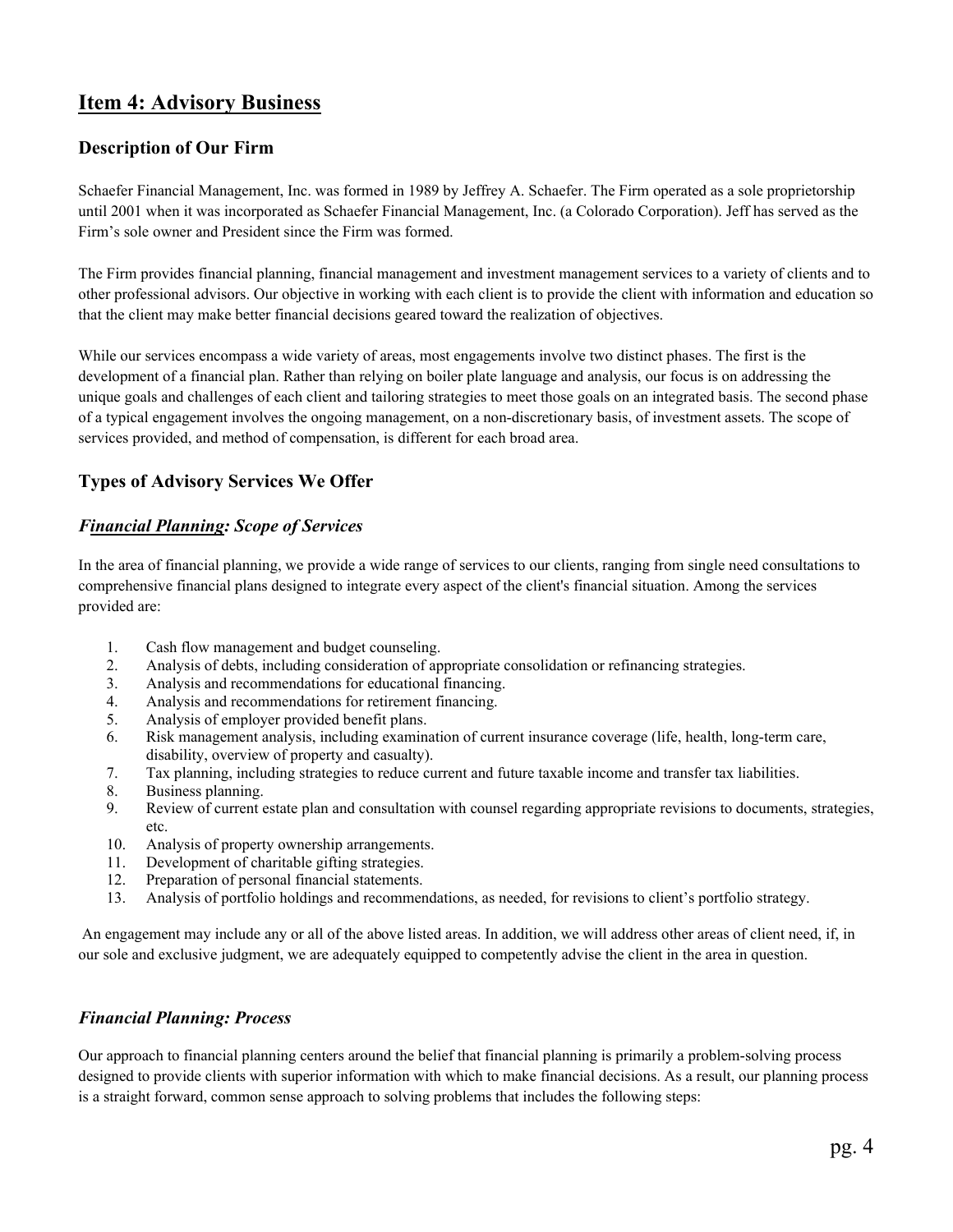## **Item 4: Advisory Business**

## **Description of Our Firm**

Schaefer Financial Management, Inc. was formed in 1989 by Jeffrey A. Schaefer. The Firm operated as a sole proprietorship until 2001 when it was incorporated as Schaefer Financial Management, Inc. (a Colorado Corporation). Jeff has served as the Firm's sole owner and President since the Firm was formed.

The Firm provides financial planning, financial management and investment management services to a variety of clients and to other professional advisors. Our objective in working with each client is to provide the client with information and education so that the client may make better financial decisions geared toward the realization of objectives.

While our services encompass a wide variety of areas, most engagements involve two distinct phases. The first is the development of a financial plan. Rather than relying on boiler plate language and analysis, our focus is on addressing the unique goals and challenges of each client and tailoring strategies to meet those goals on an integrated basis. The second phase of a typical engagement involves the ongoing management, on a non-discretionary basis, of investment assets. The scope of services provided, and method of compensation, is different for each broad area.

## **Types of Advisory Services We Offer**

## *Financial Planning: Scope of Services*

In the area of financial planning, we provide a wide range of services to our clients, ranging from single need consultations to comprehensive financial plans designed to integrate every aspect of the client's financial situation. Among the services provided are:

- 1. Cash flow management and budget counseling.
- 2. Analysis of debts, including consideration of appropriate consolidation or refinancing strategies.
- 3. Analysis and recommendations for educational financing.
- 4. Analysis and recommendations for retirement financing.
- 5. Analysis of employer provided benefit plans.
- 6. Risk management analysis, including examination of current insurance coverage (life, health, long-term care, disability, overview of property and casualty).
- 7. Tax planning, including strategies to reduce current and future taxable income and transfer tax liabilities.
- 8. Business planning.
- 9. Review of current estate plan and consultation with counsel regarding appropriate revisions to documents, strategies, etc.
- 10. Analysis of property ownership arrangements.
- 11. Development of charitable gifting strategies.
- 12. Preparation of personal financial statements.
- 13. Analysis of portfolio holdings and recommendations, as needed, for revisions to client's portfolio strategy.

 An engagement may include any or all of the above listed areas. In addition, we will address other areas of client need, if, in our sole and exclusive judgment, we are adequately equipped to competently advise the client in the area in question.

### *Financial Planning: Process*

Our approach to financial planning centers around the belief that financial planning is primarily a problem-solving process designed to provide clients with superior information with which to make financial decisions. As a result, our planning process is a straight forward, common sense approach to solving problems that includes the following steps: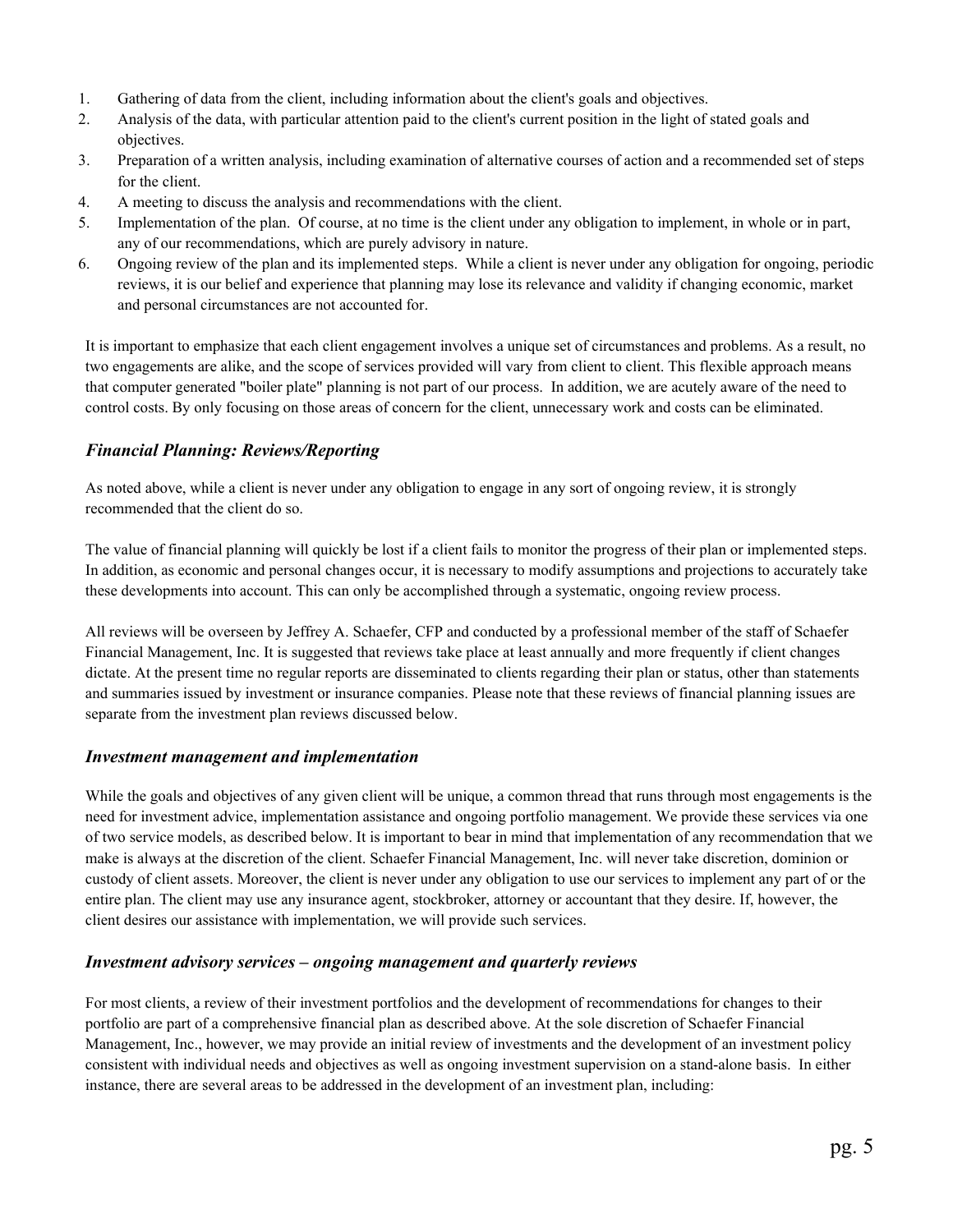- 1. Gathering of data from the client, including information about the client's goals and objectives.
- 2. Analysis of the data, with particular attention paid to the client's current position in the light of stated goals and objectives.
- 3. Preparation of a written analysis, including examination of alternative courses of action and a recommended set of steps for the client.
- 4. A meeting to discuss the analysis and recommendations with the client.
- 5. Implementation of the plan. Of course, at no time is the client under any obligation to implement, in whole or in part, any of our recommendations, which are purely advisory in nature.
- 6. Ongoing review of the plan and its implemented steps. While a client is never under any obligation for ongoing, periodic reviews, it is our belief and experience that planning may lose its relevance and validity if changing economic, market and personal circumstances are not accounted for.

It is important to emphasize that each client engagement involves a unique set of circumstances and problems. As a result, no two engagements are alike, and the scope of services provided will vary from client to client. This flexible approach means that computer generated "boiler plate" planning is not part of our process. In addition, we are acutely aware of the need to control costs. By only focusing on those areas of concern for the client, unnecessary work and costs can be eliminated.

### *Financial Planning: Reviews/Reporting*

As noted above, while a client is never under any obligation to engage in any sort of ongoing review, it is strongly recommended that the client do so.

The value of financial planning will quickly be lost if a client fails to monitor the progress of their plan or implemented steps. In addition, as economic and personal changes occur, it is necessary to modify assumptions and projections to accurately take these developments into account. This can only be accomplished through a systematic, ongoing review process.

All reviews will be overseen by Jeffrey A. Schaefer, CFP and conducted by a professional member of the staff of Schaefer Financial Management, Inc. It is suggested that reviews take place at least annually and more frequently if client changes dictate. At the present time no regular reports are disseminated to clients regarding their plan or status, other than statements and summaries issued by investment or insurance companies. Please note that these reviews of financial planning issues are separate from the investment plan reviews discussed below.

#### *Investment management and implementation*

While the goals and objectives of any given client will be unique, a common thread that runs through most engagements is the need for investment advice, implementation assistance and ongoing portfolio management. We provide these services via one of two service models, as described below. It is important to bear in mind that implementation of any recommendation that we make is always at the discretion of the client. Schaefer Financial Management, Inc. will never take discretion, dominion or custody of client assets. Moreover, the client is never under any obligation to use our services to implement any part of or the entire plan. The client may use any insurance agent, stockbroker, attorney or accountant that they desire. If, however, the client desires our assistance with implementation, we will provide such services.

#### *Investment advisory services – ongoing management and quarterly reviews*

For most clients, a review of their investment portfolios and the development of recommendations for changes to their portfolio are part of a comprehensive financial plan as described above. At the sole discretion of Schaefer Financial Management, Inc., however, we may provide an initial review of investments and the development of an investment policy consistent with individual needs and objectives as well as ongoing investment supervision on a stand-alone basis. In either instance, there are several areas to be addressed in the development of an investment plan, including: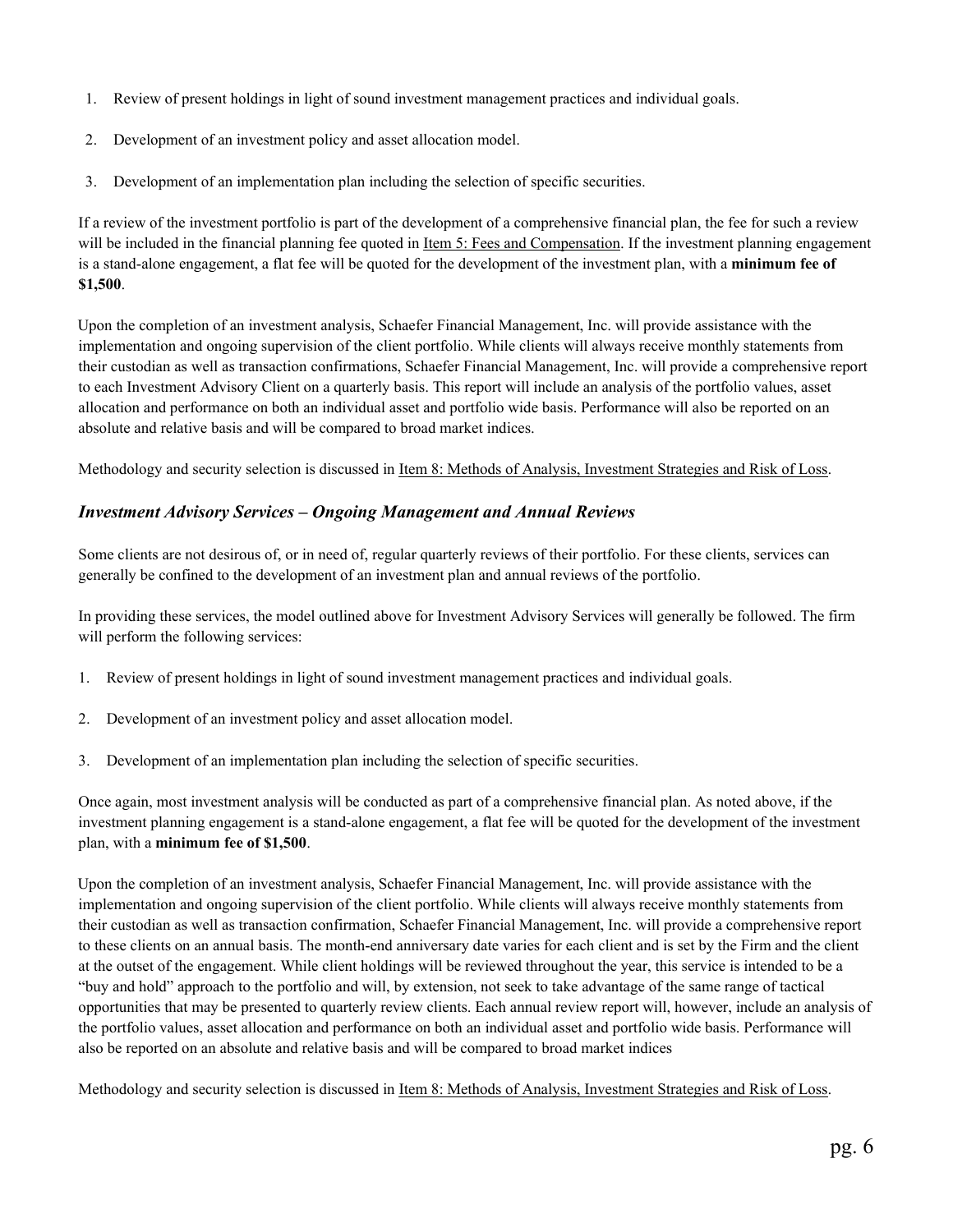- 1. Review of present holdings in light of sound investment management practices and individual goals.
- 2. Development of an investment policy and asset allocation model.
- 3. Development of an implementation plan including the selection of specific securities.

If a review of the investment portfolio is part of the development of a comprehensive financial plan, the fee for such a review will be included in the financial planning fee quoted in Item 5: Fees and Compensation. If the investment planning engagement is a stand-alone engagement, a flat fee will be quoted for the development of the investment plan, with a **minimum fee of \$1,500**.

 Upon the completion of an investment analysis, Schaefer Financial Management, Inc. will provide assistance with the implementation and ongoing supervision of the client portfolio. While clients will always receive monthly statements from their custodian as well as transaction confirmations, Schaefer Financial Management, Inc. will provide a comprehensive report to each Investment Advisory Client on a quarterly basis. This report will include an analysis of the portfolio values, asset allocation and performance on both an individual asset and portfolio wide basis. Performance will also be reported on an absolute and relative basis and will be compared to broad market indices.

Methodology and security selection is discussed in Item 8: Methods of Analysis, Investment Strategies and Risk of Loss.

## *Investment Advisory Services – Ongoing Management and Annual Reviews*

Some clients are not desirous of, or in need of, regular quarterly reviews of their portfolio. For these clients, services can generally be confined to the development of an investment plan and annual reviews of the portfolio.

 In providing these services, the model outlined above for Investment Advisory Services will generally be followed. The firm will perform the following services:

- 1. Review of present holdings in light of sound investment management practices and individual goals.
- 2. Development of an investment policy and asset allocation model.
- 3. Development of an implementation plan including the selection of specific securities.

Once again, most investment analysis will be conducted as part of a comprehensive financial plan. As noted above, if the investment planning engagement is a stand-alone engagement, a flat fee will be quoted for the development of the investment plan, with a **minimum fee of \$1,500**.

 Upon the completion of an investment analysis, Schaefer Financial Management, Inc. will provide assistance with the implementation and ongoing supervision of the client portfolio. While clients will always receive monthly statements from their custodian as well as transaction confirmation, Schaefer Financial Management, Inc. will provide a comprehensive report to these clients on an annual basis. The month-end anniversary date varies for each client and is set by the Firm and the client at the outset of the engagement. While client holdings will be reviewed throughout the year, this service is intended to be a "buy and hold" approach to the portfolio and will, by extension, not seek to take advantage of the same range of tactical opportunities that may be presented to quarterly review clients. Each annual review report will, however, include an analysis of the portfolio values, asset allocation and performance on both an individual asset and portfolio wide basis. Performance will also be reported on an absolute and relative basis and will be compared to broad market indices

Methodology and security selection is discussed in Item 8: Methods of Analysis, Investment Strategies and Risk of Loss.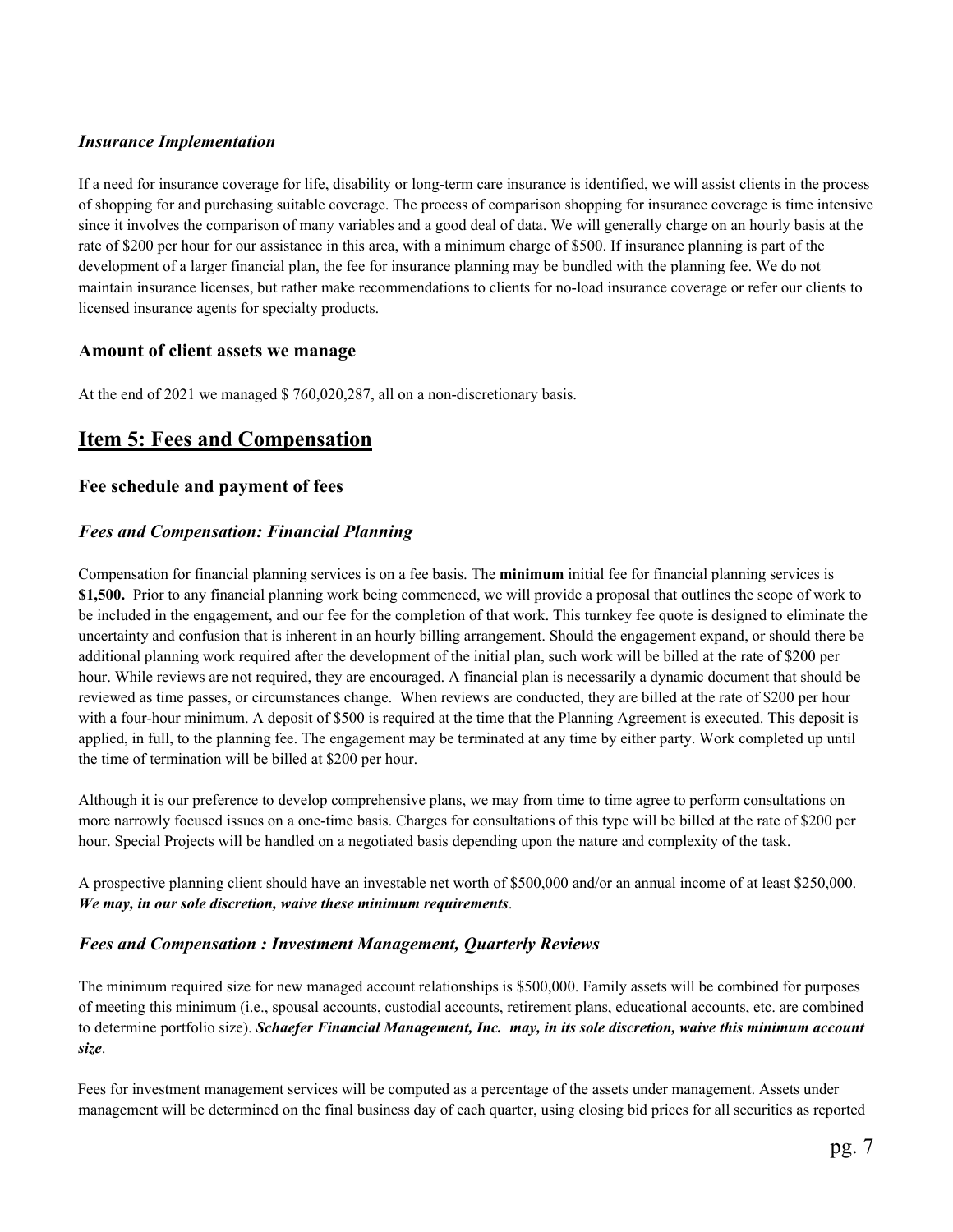## *Insurance Implementation*

If a need for insurance coverage for life, disability or long-term care insurance is identified, we will assist clients in the process of shopping for and purchasing suitable coverage. The process of comparison shopping for insurance coverage is time intensive since it involves the comparison of many variables and a good deal of data. We will generally charge on an hourly basis at the rate of \$200 per hour for our assistance in this area, with a minimum charge of \$500. If insurance planning is part of the development of a larger financial plan, the fee for insurance planning may be bundled with the planning fee. We do not maintain insurance licenses, but rather make recommendations to clients for no-load insurance coverage or refer our clients to licensed insurance agents for specialty products.

## **Amount of client assets we manage**

At the end of 2021 we managed \$ 760,020,287, all on a non-discretionary basis.

## **Item 5: Fees and Compensation**

## **Fee schedule and payment of fees**

## *Fees and Compensation: Financial Planning*

Compensation for financial planning services is on a fee basis. The **minimum** initial fee for financial planning services is **\$1,500.** Prior to any financial planning work being commenced, we will provide a proposal that outlines the scope of work to be included in the engagement, and our fee for the completion of that work. This turnkey fee quote is designed to eliminate the uncertainty and confusion that is inherent in an hourly billing arrangement. Should the engagement expand, or should there be additional planning work required after the development of the initial plan, such work will be billed at the rate of \$200 per hour. While reviews are not required, they are encouraged. A financial plan is necessarily a dynamic document that should be reviewed as time passes, or circumstances change. When reviews are conducted, they are billed at the rate of \$200 per hour with a four-hour minimum. A deposit of \$500 is required at the time that the Planning Agreement is executed. This deposit is applied, in full, to the planning fee. The engagement may be terminated at any time by either party. Work completed up until the time of termination will be billed at \$200 per hour.

Although it is our preference to develop comprehensive plans, we may from time to time agree to perform consultations on more narrowly focused issues on a one-time basis. Charges for consultations of this type will be billed at the rate of \$200 per hour. Special Projects will be handled on a negotiated basis depending upon the nature and complexity of the task.

A prospective planning client should have an investable net worth of \$500,000 and/or an annual income of at least \$250,000. *We may, in our sole discretion, waive these minimum requirements*.

### *Fees and Compensation : Investment Management, Quarterly Reviews*

 The minimum required size for new managed account relationships is \$500,000. Family assets will be combined for purposes of meeting this minimum (i.e., spousal accounts, custodial accounts, retirement plans, educational accounts, etc. are combined to determine portfolio size). *Schaefer Financial Management, Inc. may, in its sole discretion, waive this minimum account size*.

 Fees for investment management services will be computed as a percentage of the assets under management. Assets under management will be determined on the final business day of each quarter, using closing bid prices for all securities as reported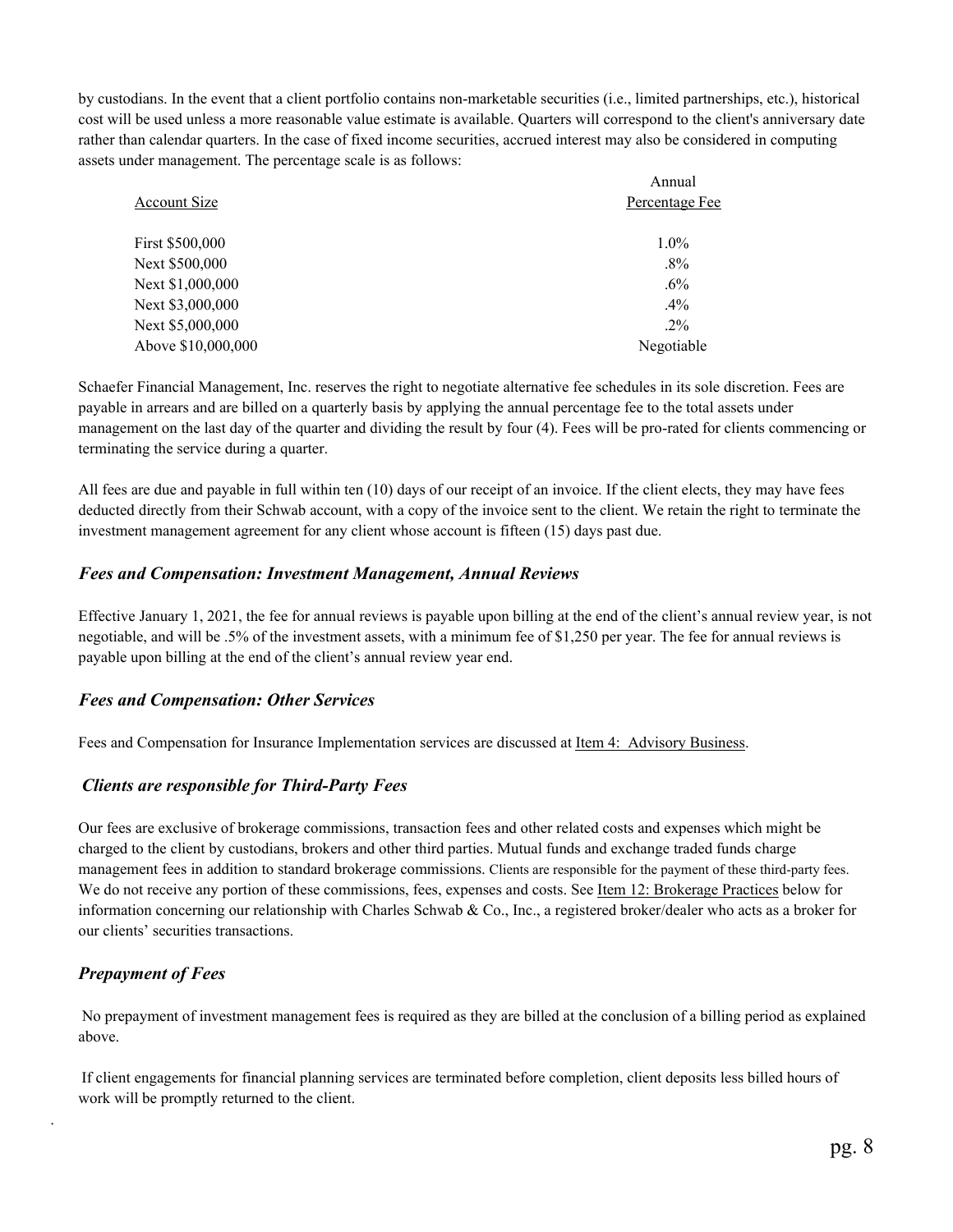by custodians. In the event that a client portfolio contains non-marketable securities (i.e., limited partnerships, etc.), historical cost will be used unless a more reasonable value estimate is available. Quarters will correspond to the client's anniversary date rather than calendar quarters. In the case of fixed income securities, accrued interest may also be considered in computing assets under management. The percentage scale is as follows:

|                    | Annual         |  |
|--------------------|----------------|--|
| Account Size       | Percentage Fee |  |
| First \$500,000    | $1.0\%$        |  |
| Next \$500,000     | $.8\%$         |  |
| Next \$1,000,000   | $.6\%$         |  |
| Next \$3,000,000   | .4%            |  |
| Next \$5,000,000   | $.2\%$         |  |
| Above \$10,000,000 | Negotiable     |  |

 Schaefer Financial Management, Inc. reserves the right to negotiate alternative fee schedules in its sole discretion. Fees are payable in arrears and are billed on a quarterly basis by applying the annual percentage fee to the total assets under management on the last day of the quarter and dividing the result by four (4). Fees will be pro-rated for clients commencing or terminating the service during a quarter.

 All fees are due and payable in full within ten (10) days of our receipt of an invoice. If the client elects, they may have fees deducted directly from their Schwab account, with a copy of the invoice sent to the client. We retain the right to terminate the investment management agreement for any client whose account is fifteen (15) days past due.

#### *Fees and Compensation: Investment Management, Annual Reviews*

Effective January 1, 2021, the fee for annual reviews is payable upon billing at the end of the client's annual review year, is not negotiable, and will be .5% of the investment assets, with a minimum fee of \$1,250 per year. The fee for annual reviews is payable upon billing at the end of the client's annual review year end.

### *Fees and Compensation: Other Services*

Fees and Compensation for Insurance Implementation services are discussed at Item 4: Advisory Business.

### *Clients are responsible for Third-Party Fees*

 Our fees are exclusive of brokerage commissions, transaction fees and other related costs and expenses which might be charged to the client by custodians, brokers and other third parties. Mutual funds and exchange traded funds charge management fees in addition to standard brokerage commissions. Clients are responsible for the payment of these third-party fees. We do not receive any portion of these commissions, fees, expenses and costs. See Item 12: Brokerage Practices below for information concerning our relationship with Charles Schwab & Co., Inc., a registered broker/dealer who acts as a broker for our clients' securities transactions.

### *Prepayment of Fees*

.

 No prepayment of investment management fees is required as they are billed at the conclusion of a billing period as explained above.

 If client engagements for financial planning services are terminated before completion, client deposits less billed hours of work will be promptly returned to the client.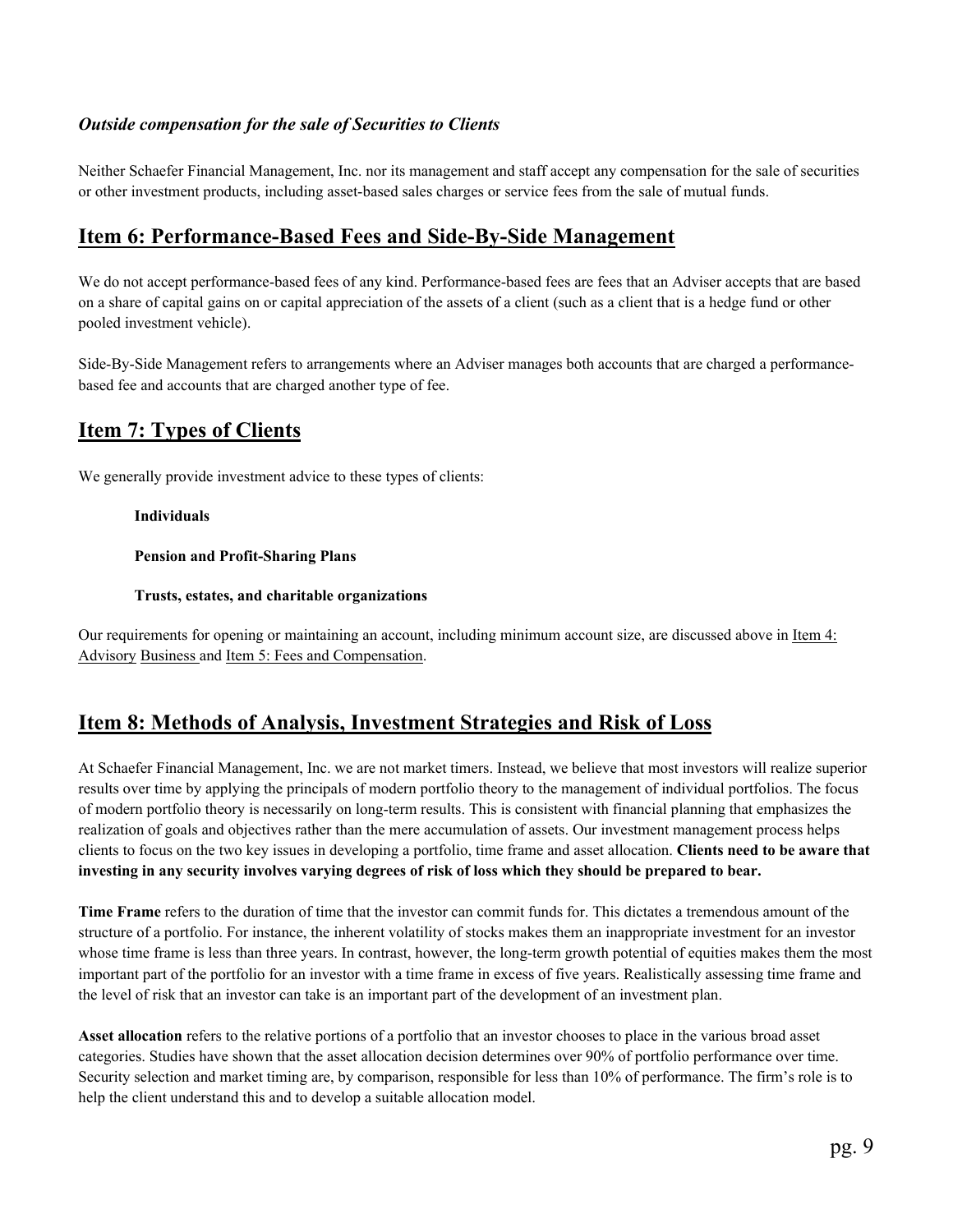## *Outside compensation for the sale of Securities to Clients*

Neither Schaefer Financial Management, Inc. nor its management and staff accept any compensation for the sale of securities or other investment products, including asset-based sales charges or service fees from the sale of mutual funds.

## **Item 6: Performance-Based Fees and Side-By-Side Management**

We do not accept performance-based fees of any kind. Performance-based fees are fees that an Adviser accepts that are based on a share of capital gains on or capital appreciation of the assets of a client (such as a client that is a hedge fund or other pooled investment vehicle).

Side-By-Side Management refers to arrangements where an Adviser manages both accounts that are charged a performancebased fee and accounts that are charged another type of fee.

# **Item 7: Types of Clients**

We generally provide investment advice to these types of clients:

#### **Individuals**

 **Pension and Profit-Sharing Plans** 

#### **Trusts, estates, and charitable organizations**

Our requirements for opening or maintaining an account, including minimum account size, are discussed above in Item 4: Advisory Business and Item 5: Fees and Compensation.

## **Item 8: Methods of Analysis, Investment Strategies and Risk of Loss**

At Schaefer Financial Management, Inc. we are not market timers. Instead, we believe that most investors will realize superior results over time by applying the principals of modern portfolio theory to the management of individual portfolios. The focus of modern portfolio theory is necessarily on long-term results. This is consistent with financial planning that emphasizes the realization of goals and objectives rather than the mere accumulation of assets. Our investment management process helps clients to focus on the two key issues in developing a portfolio, time frame and asset allocation. **Clients need to be aware that investing in any security involves varying degrees of risk of loss which they should be prepared to bear.** 

**Time Frame** refers to the duration of time that the investor can commit funds for. This dictates a tremendous amount of the structure of a portfolio. For instance, the inherent volatility of stocks makes them an inappropriate investment for an investor whose time frame is less than three years. In contrast, however, the long-term growth potential of equities makes them the most important part of the portfolio for an investor with a time frame in excess of five years. Realistically assessing time frame and the level of risk that an investor can take is an important part of the development of an investment plan.

**Asset allocation** refers to the relative portions of a portfolio that an investor chooses to place in the various broad asset categories. Studies have shown that the asset allocation decision determines over 90% of portfolio performance over time. Security selection and market timing are, by comparison, responsible for less than 10% of performance. The firm's role is to help the client understand this and to develop a suitable allocation model.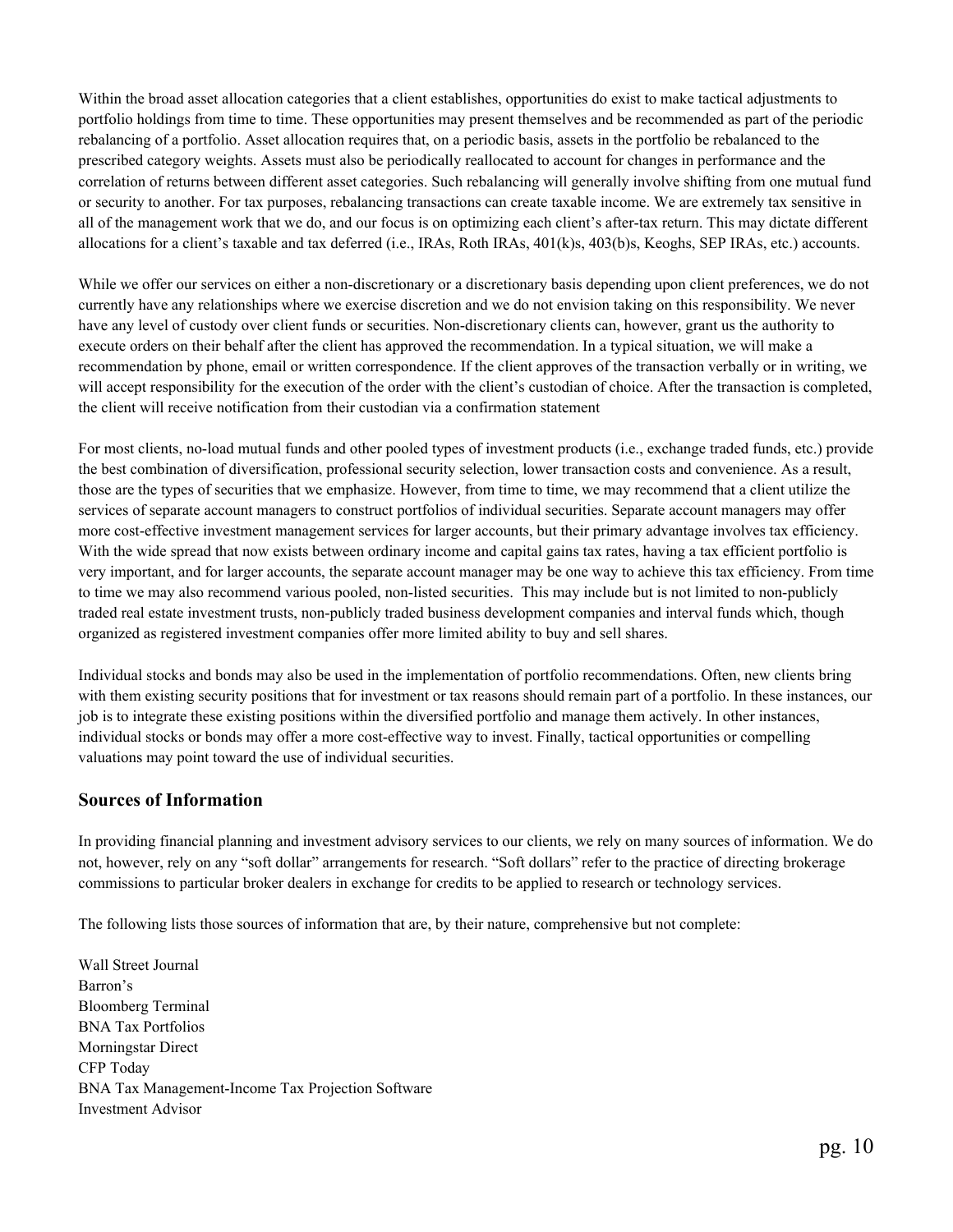Within the broad asset allocation categories that a client establishes, opportunities do exist to make tactical adjustments to portfolio holdings from time to time. These opportunities may present themselves and be recommended as part of the periodic rebalancing of a portfolio. Asset allocation requires that, on a periodic basis, assets in the portfolio be rebalanced to the prescribed category weights. Assets must also be periodically reallocated to account for changes in performance and the correlation of returns between different asset categories. Such rebalancing will generally involve shifting from one mutual fund or security to another. For tax purposes, rebalancing transactions can create taxable income. We are extremely tax sensitive in all of the management work that we do, and our focus is on optimizing each client's after-tax return. This may dictate different allocations for a client's taxable and tax deferred (i.e., IRAs, Roth IRAs, 401(k)s, 403(b)s, Keoghs, SEP IRAs, etc.) accounts.

 While we offer our services on either a non-discretionary or a discretionary basis depending upon client preferences, we do not currently have any relationships where we exercise discretion and we do not envision taking on this responsibility. We never have any level of custody over client funds or securities. Non-discretionary clients can, however, grant us the authority to execute orders on their behalf after the client has approved the recommendation. In a typical situation, we will make a recommendation by phone, email or written correspondence. If the client approves of the transaction verbally or in writing, we will accept responsibility for the execution of the order with the client's custodian of choice. After the transaction is completed, the client will receive notification from their custodian via a confirmation statement

 For most clients, no-load mutual funds and other pooled types of investment products (i.e., exchange traded funds, etc.) provide the best combination of diversification, professional security selection, lower transaction costs and convenience. As a result, those are the types of securities that we emphasize. However, from time to time, we may recommend that a client utilize the services of separate account managers to construct portfolios of individual securities. Separate account managers may offer more cost-effective investment management services for larger accounts, but their primary advantage involves tax efficiency. With the wide spread that now exists between ordinary income and capital gains tax rates, having a tax efficient portfolio is very important, and for larger accounts, the separate account manager may be one way to achieve this tax efficiency. From time to time we may also recommend various pooled, non-listed securities. This may include but is not limited to non-publicly traded real estate investment trusts, non-publicly traded business development companies and interval funds which, though organized as registered investment companies offer more limited ability to buy and sell shares.

 Individual stocks and bonds may also be used in the implementation of portfolio recommendations. Often, new clients bring with them existing security positions that for investment or tax reasons should remain part of a portfolio. In these instances, our job is to integrate these existing positions within the diversified portfolio and manage them actively. In other instances, individual stocks or bonds may offer a more cost-effective way to invest. Finally, tactical opportunities or compelling valuations may point toward the use of individual securities.

### **Sources of Information**

In providing financial planning and investment advisory services to our clients, we rely on many sources of information. We do not, however, rely on any "soft dollar" arrangements for research. "Soft dollars" refer to the practice of directing brokerage commissions to particular broker dealers in exchange for credits to be applied to research or technology services.

The following lists those sources of information that are, by their nature, comprehensive but not complete:

 Wall Street Journal Barron's Bloomberg Terminal BNA Tax Portfolios Morningstar Direct CFP Today BNA Tax Management-Income Tax Projection Software Investment Advisor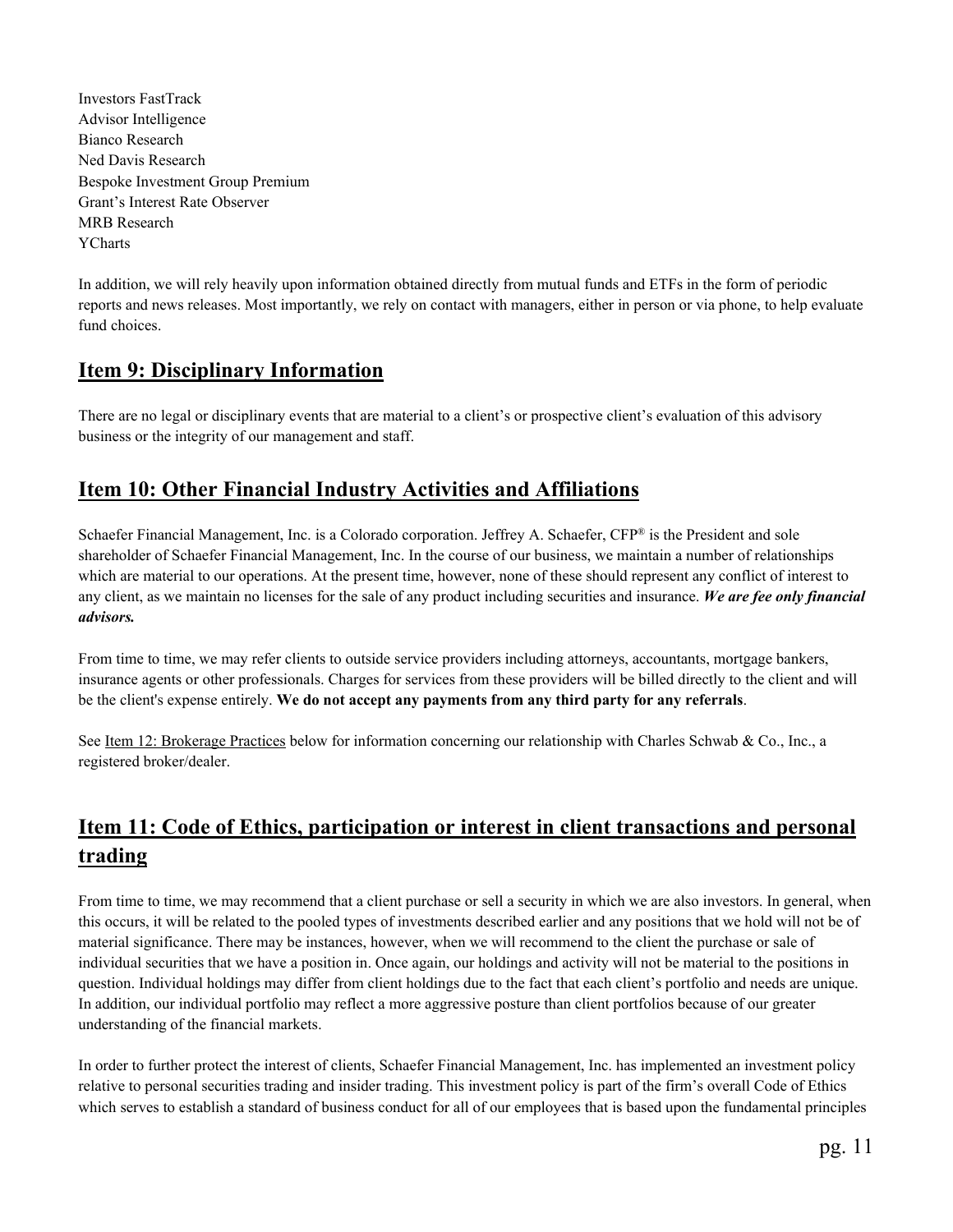Investors FastTrack Advisor Intelligence Bianco Research Ned Davis Research Bespoke Investment Group Premium Grant's Interest Rate Observer MRB Research YCharts

 In addition, we will rely heavily upon information obtained directly from mutual funds and ETFs in the form of periodic reports and news releases. Most importantly, we rely on contact with managers, either in person or via phone, to help evaluate fund choices.

## **Item 9: Disciplinary Information**

There are no legal or disciplinary events that are material to a client's or prospective client's evaluation of this advisory business or the integrity of our management and staff.

# **Item 10: Other Financial Industry Activities and Affiliations**

Schaefer Financial Management, Inc. is a Colorado corporation. Jeffrey A. Schaefer, CFP® is the President and sole shareholder of Schaefer Financial Management, Inc. In the course of our business, we maintain a number of relationships which are material to our operations. At the present time, however, none of these should represent any conflict of interest to any client, as we maintain no licenses for the sale of any product including securities and insurance. *We are fee only financial advisors.*

 From time to time, we may refer clients to outside service providers including attorneys, accountants, mortgage bankers, insurance agents or other professionals. Charges for services from these providers will be billed directly to the client and will be the client's expense entirely. **We do not accept any payments from any third party for any referrals**.

See <u>Item 12: Brokerage Practices</u> below for information concerning our relationship with Charles Schwab & Co., Inc., a registered broker/dealer.

# **Item 11: Code of Ethics, participation or interest in client transactions and personal trading**

From time to time, we may recommend that a client purchase or sell a security in which we are also investors. In general, when this occurs, it will be related to the pooled types of investments described earlier and any positions that we hold will not be of material significance. There may be instances, however, when we will recommend to the client the purchase or sale of individual securities that we have a position in. Once again, our holdings and activity will not be material to the positions in question. Individual holdings may differ from client holdings due to the fact that each client's portfolio and needs are unique. In addition, our individual portfolio may reflect a more aggressive posture than client portfolios because of our greater understanding of the financial markets.

In order to further protect the interest of clients, Schaefer Financial Management, Inc. has implemented an investment policy relative to personal securities trading and insider trading. This investment policy is part of the firm's overall Code of Ethics which serves to establish a standard of business conduct for all of our employees that is based upon the fundamental principles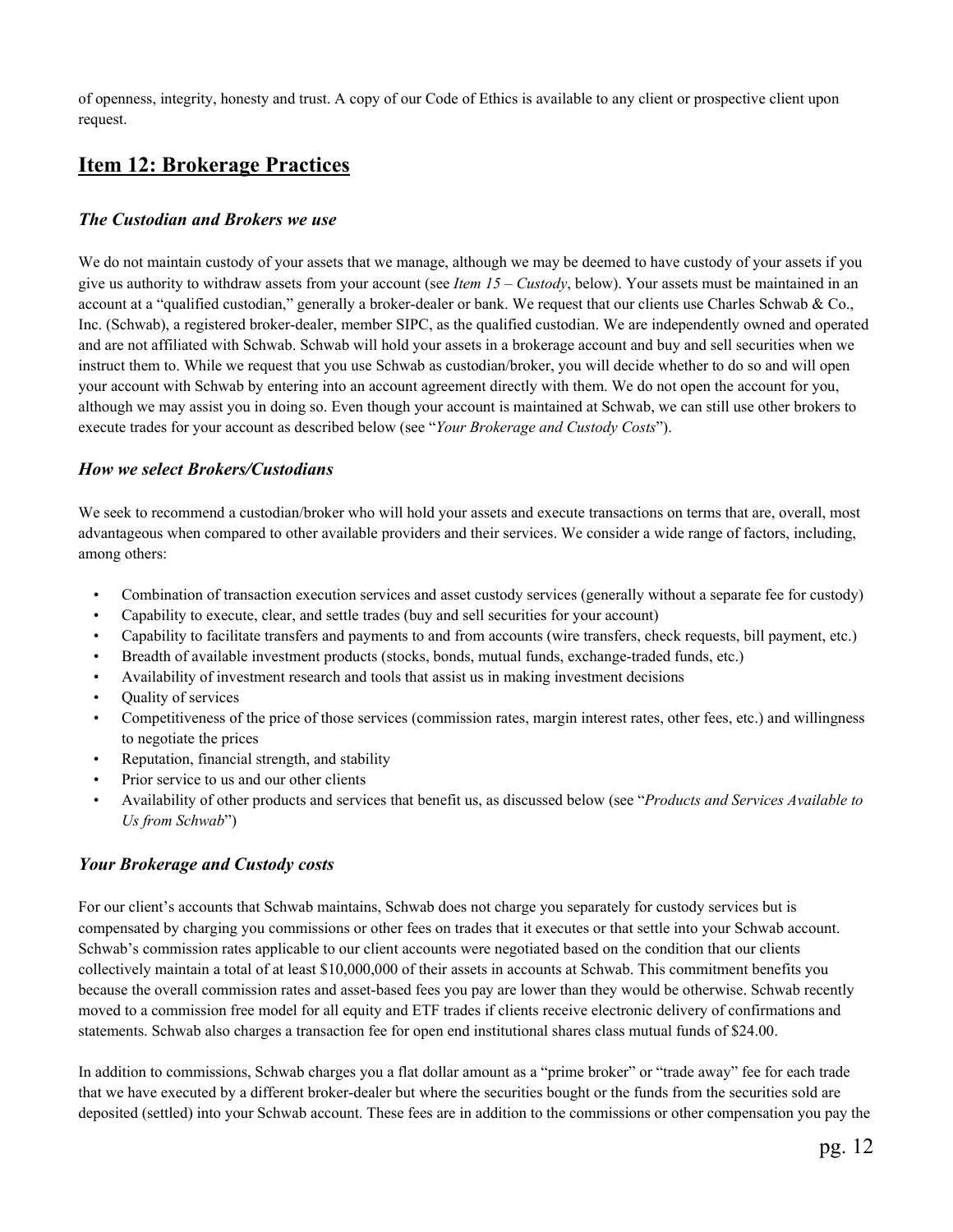of openness, integrity, honesty and trust. A copy of our Code of Ethics is available to any client or prospective client upon request.

# **Item 12: Brokerage Practices**

## *The Custodian and Brokers we use*

We do not maintain custody of your assets that we manage, although we may be deemed to have custody of your assets if you give us authority to withdraw assets from your account (see *Item 15 – Custody*, below). Your assets must be maintained in an account at a "qualified custodian," generally a broker-dealer or bank. We request that our clients use Charles Schwab & Co., Inc. (Schwab), a registered broker-dealer, member SIPC, as the qualified custodian. We are independently owned and operated and are not affiliated with Schwab. Schwab will hold your assets in a brokerage account and buy and sell securities when we instruct them to. While we request that you use Schwab as custodian/broker, you will decide whether to do so and will open your account with Schwab by entering into an account agreement directly with them. We do not open the account for you, although we may assist you in doing so. Even though your account is maintained at Schwab, we can still use other brokers to execute trades for your account as described below (see "*Your Brokerage and Custody Costs*").

### *How we select Brokers/Custodians*

We seek to recommend a custodian/broker who will hold your assets and execute transactions on terms that are, overall, most advantageous when compared to other available providers and their services. We consider a wide range of factors, including, among others:

- Combination of transaction execution services and asset custody services (generally without a separate fee for custody)
- Capability to execute, clear, and settle trades (buy and sell securities for your account)
- Capability to facilitate transfers and payments to and from accounts (wire transfers, check requests, bill payment, etc.)
- Breadth of available investment products (stocks, bonds, mutual funds, exchange-traded funds, etc.)
- Availability of investment research and tools that assist us in making investment decisions
- Quality of services
- Competitiveness of the price of those services (commission rates, margin interest rates, other fees, etc.) and willingness to negotiate the prices
- Reputation, financial strength, and stability
- Prior service to us and our other clients
- Availability of other products and services that benefit us, as discussed below (see "*Products and Services Available to Us from Schwab*")

## *Your Brokerage and Custody costs*

For our client's accounts that Schwab maintains, Schwab does not charge you separately for custody services but is compensated by charging you commissions or other fees on trades that it executes or that settle into your Schwab account. Schwab's commission rates applicable to our client accounts were negotiated based on the condition that our clients collectively maintain a total of at least \$10,000,000 of their assets in accounts at Schwab. This commitment benefits you because the overall commission rates and asset-based fees you pay are lower than they would be otherwise. Schwab recently moved to a commission free model for all equity and ETF trades if clients receive electronic delivery of confirmations and statements. Schwab also charges a transaction fee for open end institutional shares class mutual funds of \$24.00.

In addition to commissions, Schwab charges you a flat dollar amount as a "prime broker" or "trade away" fee for each trade that we have executed by a different broker-dealer but where the securities bought or the funds from the securities sold are deposited (settled) into your Schwab account. These fees are in addition to the commissions or other compensation you pay the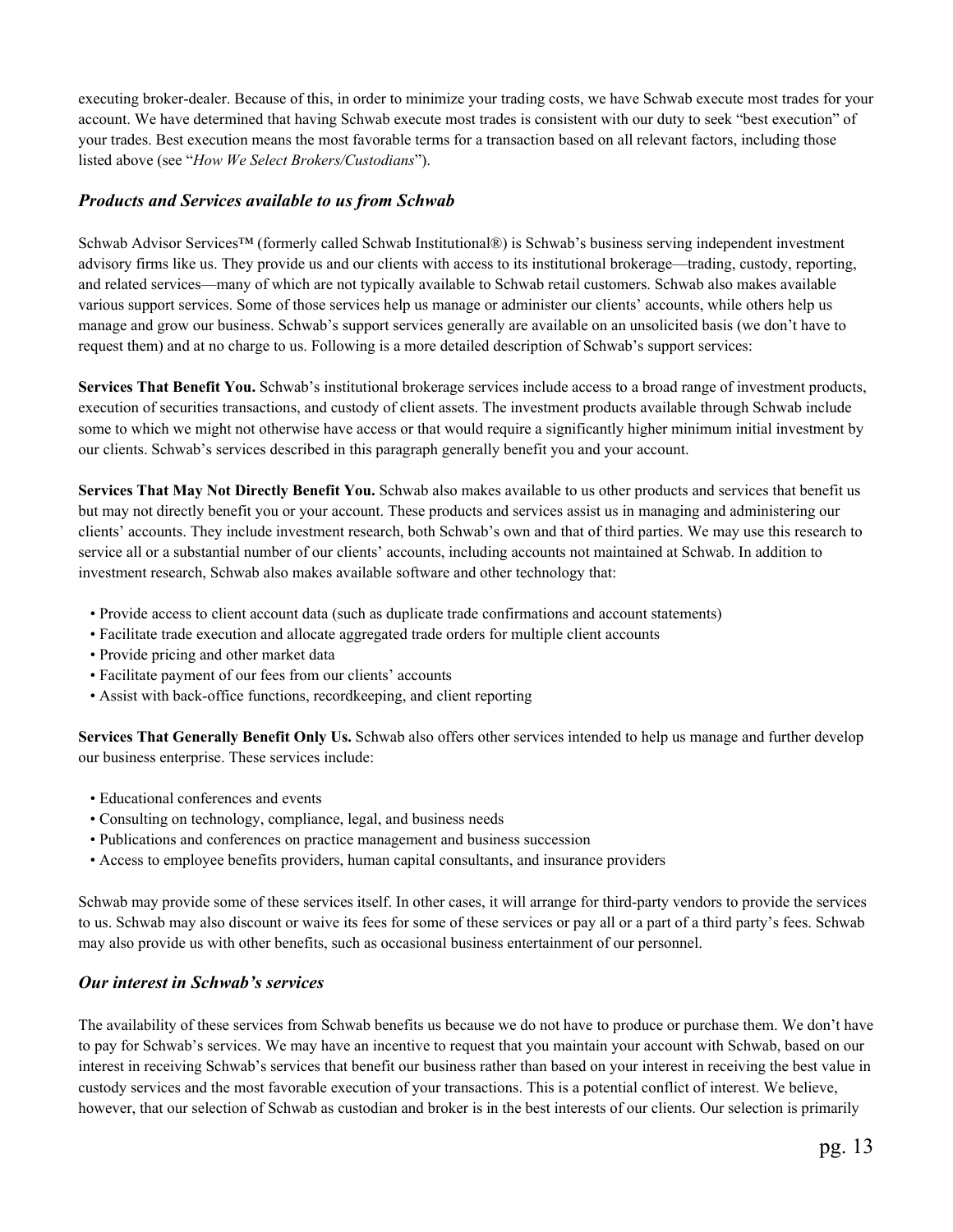executing broker-dealer. Because of this, in order to minimize your trading costs, we have Schwab execute most trades for your account. We have determined that having Schwab execute most trades is consistent with our duty to seek "best execution" of your trades. Best execution means the most favorable terms for a transaction based on all relevant factors, including those listed above (see "*How We Select Brokers/Custodians*").

#### *Products and Services available to us from Schwab*

Schwab Advisor Services™ (formerly called Schwab Institutional®) is Schwab's business serving independent investment advisory firms like us. They provide us and our clients with access to its institutional brokerage—trading, custody, reporting, and related services—many of which are not typically available to Schwab retail customers. Schwab also makes available various support services. Some of those services help us manage or administer our clients' accounts, while others help us manage and grow our business. Schwab's support services generally are available on an unsolicited basis (we don't have to request them) and at no charge to us. Following is a more detailed description of Schwab's support services:

**Services That Benefit You.** Schwab's institutional brokerage services include access to a broad range of investment products, execution of securities transactions, and custody of client assets. The investment products available through Schwab include some to which we might not otherwise have access or that would require a significantly higher minimum initial investment by our clients. Schwab's services described in this paragraph generally benefit you and your account.

**Services That May Not Directly Benefit You.** Schwab also makes available to us other products and services that benefit us but may not directly benefit you or your account. These products and services assist us in managing and administering our clients' accounts. They include investment research, both Schwab's own and that of third parties. We may use this research to service all or a substantial number of our clients' accounts, including accounts not maintained at Schwab. In addition to investment research, Schwab also makes available software and other technology that:

- Provide access to client account data (such as duplicate trade confirmations and account statements)
- Facilitate trade execution and allocate aggregated trade orders for multiple client accounts
- Provide pricing and other market data
- Facilitate payment of our fees from our clients' accounts
- Assist with back-office functions, recordkeeping, and client reporting

**Services That Generally Benefit Only Us.** Schwab also offers other services intended to help us manage and further develop our business enterprise. These services include:

- Educational conferences and events
- Consulting on technology, compliance, legal, and business needs
- Publications and conferences on practice management and business succession
- Access to employee benefits providers, human capital consultants, and insurance providers

Schwab may provide some of these services itself. In other cases, it will arrange for third-party vendors to provide the services to us. Schwab may also discount or waive its fees for some of these services or pay all or a part of a third party's fees. Schwab may also provide us with other benefits, such as occasional business entertainment of our personnel.

#### *Our interest in Schwab's services*

The availability of these services from Schwab benefits us because we do not have to produce or purchase them. We don't have to pay for Schwab's services. We may have an incentive to request that you maintain your account with Schwab, based on our interest in receiving Schwab's services that benefit our business rather than based on your interest in receiving the best value in custody services and the most favorable execution of your transactions. This is a potential conflict of interest. We believe, however, that our selection of Schwab as custodian and broker is in the best interests of our clients. Our selection is primarily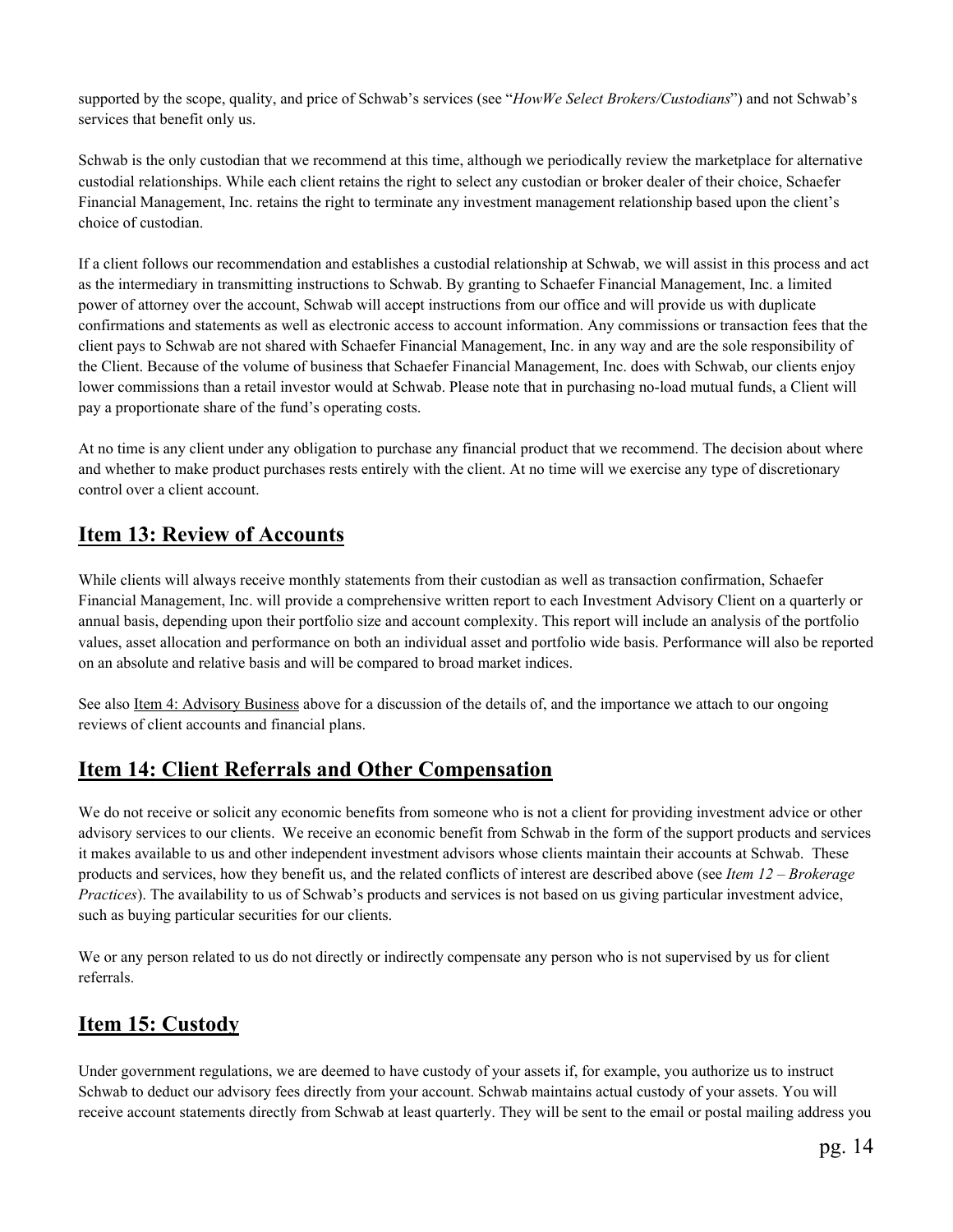supported by the scope, quality, and price of Schwab's services (see "*HowWe Select Brokers/Custodians*") and not Schwab's services that benefit only us.

 Schwab is the only custodian that we recommend at this time, although we periodically review the marketplace for alternative custodial relationships. While each client retains the right to select any custodian or broker dealer of their choice, Schaefer Financial Management, Inc. retains the right to terminate any investment management relationship based upon the client's choice of custodian.

If a client follows our recommendation and establishes a custodial relationship at Schwab, we will assist in this process and act as the intermediary in transmitting instructions to Schwab. By granting to Schaefer Financial Management, Inc. a limited power of attorney over the account, Schwab will accept instructions from our office and will provide us with duplicate confirmations and statements as well as electronic access to account information. Any commissions or transaction fees that the client pays to Schwab are not shared with Schaefer Financial Management, Inc. in any way and are the sole responsibility of the Client. Because of the volume of business that Schaefer Financial Management, Inc. does with Schwab, our clients enjoy lower commissions than a retail investor would at Schwab. Please note that in purchasing no-load mutual funds, a Client will pay a proportionate share of the fund's operating costs.

 At no time is any client under any obligation to purchase any financial product that we recommend. The decision about where and whether to make product purchases rests entirely with the client. At no time will we exercise any type of discretionary control over a client account.

## **Item 13: Review of Accounts**

While clients will always receive monthly statements from their custodian as well as transaction confirmation, Schaefer Financial Management, Inc. will provide a comprehensive written report to each Investment Advisory Client on a quarterly or annual basis, depending upon their portfolio size and account complexity. This report will include an analysis of the portfolio values, asset allocation and performance on both an individual asset and portfolio wide basis. Performance will also be reported on an absolute and relative basis and will be compared to broad market indices.

See also Item 4: Advisory Business above for a discussion of the details of, and the importance we attach to our ongoing reviews of client accounts and financial plans.

# **Item 14: Client Referrals and Other Compensation**

We do not receive or solicit any economic benefits from someone who is not a client for providing investment advice or other advisory services to our clients. We receive an economic benefit from Schwab in the form of the support products and services it makes available to us and other independent investment advisors whose clients maintain their accounts at Schwab. These products and services, how they benefit us, and the related conflicts of interest are described above (see *Item 12 – Brokerage Practices*). The availability to us of Schwab's products and services is not based on us giving particular investment advice, such as buying particular securities for our clients.

We or any person related to us do not directly or indirectly compensate any person who is not supervised by us for client referrals.

# **Item 15: Custody**

Under government regulations, we are deemed to have custody of your assets if, for example, you authorize us to instruct Schwab to deduct our advisory fees directly from your account. Schwab maintains actual custody of your assets. You will receive account statements directly from Schwab at least quarterly. They will be sent to the email or postal mailing address you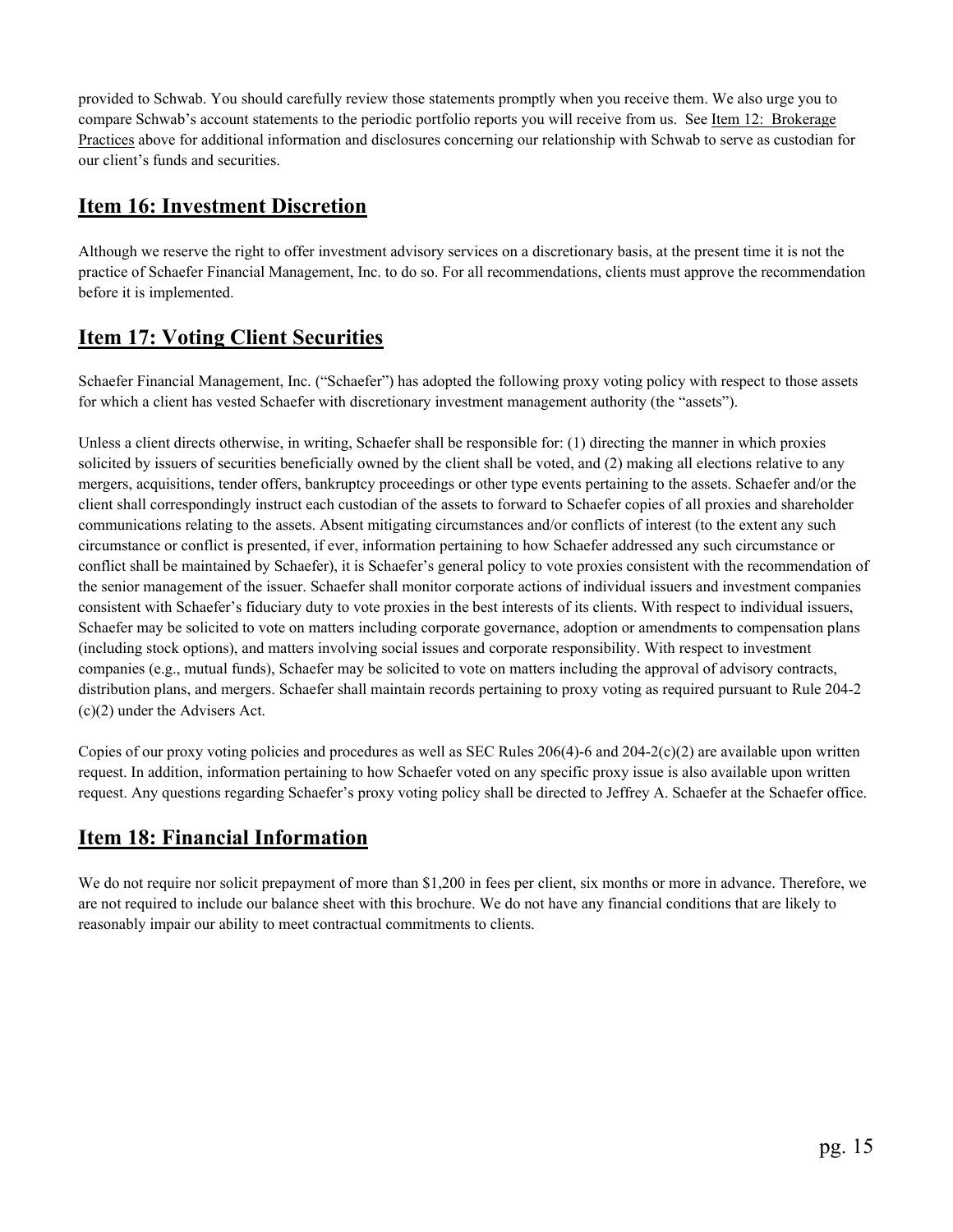provided to Schwab. You should carefully review those statements promptly when you receive them. We also urge you to compare Schwab's account statements to the periodic portfolio reports you will receive from us. See Item 12: Brokerage Practices above for additional information and disclosures concerning our relationship with Schwab to serve as custodian for our client's funds and securities.

## **Item 16: Investment Discretion**

Although we reserve the right to offer investment advisory services on a discretionary basis, at the present time it is not the practice of Schaefer Financial Management, Inc. to do so. For all recommendations, clients must approve the recommendation before it is implemented.

# **Item 17: Voting Client Securities**

Schaefer Financial Management, Inc. ("Schaefer") has adopted the following proxy voting policy with respect to those assets for which a client has vested Schaefer with discretionary investment management authority (the "assets").

Unless a client directs otherwise, in writing, Schaefer shall be responsible for: (1) directing the manner in which proxies solicited by issuers of securities beneficially owned by the client shall be voted, and (2) making all elections relative to any mergers, acquisitions, tender offers, bankruptcy proceedings or other type events pertaining to the assets. Schaefer and/or the client shall correspondingly instruct each custodian of the assets to forward to Schaefer copies of all proxies and shareholder communications relating to the assets. Absent mitigating circumstances and/or conflicts of interest (to the extent any such circumstance or conflict is presented, if ever, information pertaining to how Schaefer addressed any such circumstance or conflict shall be maintained by Schaefer), it is Schaefer's general policy to vote proxies consistent with the recommendation of the senior management of the issuer. Schaefer shall monitor corporate actions of individual issuers and investment companies consistent with Schaefer's fiduciary duty to vote proxies in the best interests of its clients. With respect to individual issuers, Schaefer may be solicited to vote on matters including corporate governance, adoption or amendments to compensation plans (including stock options), and matters involving social issues and corporate responsibility. With respect to investment companies (e.g., mutual funds), Schaefer may be solicited to vote on matters including the approval of advisory contracts, distribution plans, and mergers. Schaefer shall maintain records pertaining to proxy voting as required pursuant to Rule 204-2 (c)(2) under the Advisers Act.

Copies of our proxy voting policies and procedures as well as SEC Rules  $206(4)$ -6 and  $204-2(c)(2)$  are available upon written request. In addition, information pertaining to how Schaefer voted on any specific proxy issue is also available upon written request. Any questions regarding Schaefer's proxy voting policy shall be directed to Jeffrey A. Schaefer at the Schaefer office.

# **Item 18: Financial Information**

We do not require nor solicit prepayment of more than \$1,200 in fees per client, six months or more in advance. Therefore, we are not required to include our balance sheet with this brochure. We do not have any financial conditions that are likely to reasonably impair our ability to meet contractual commitments to clients.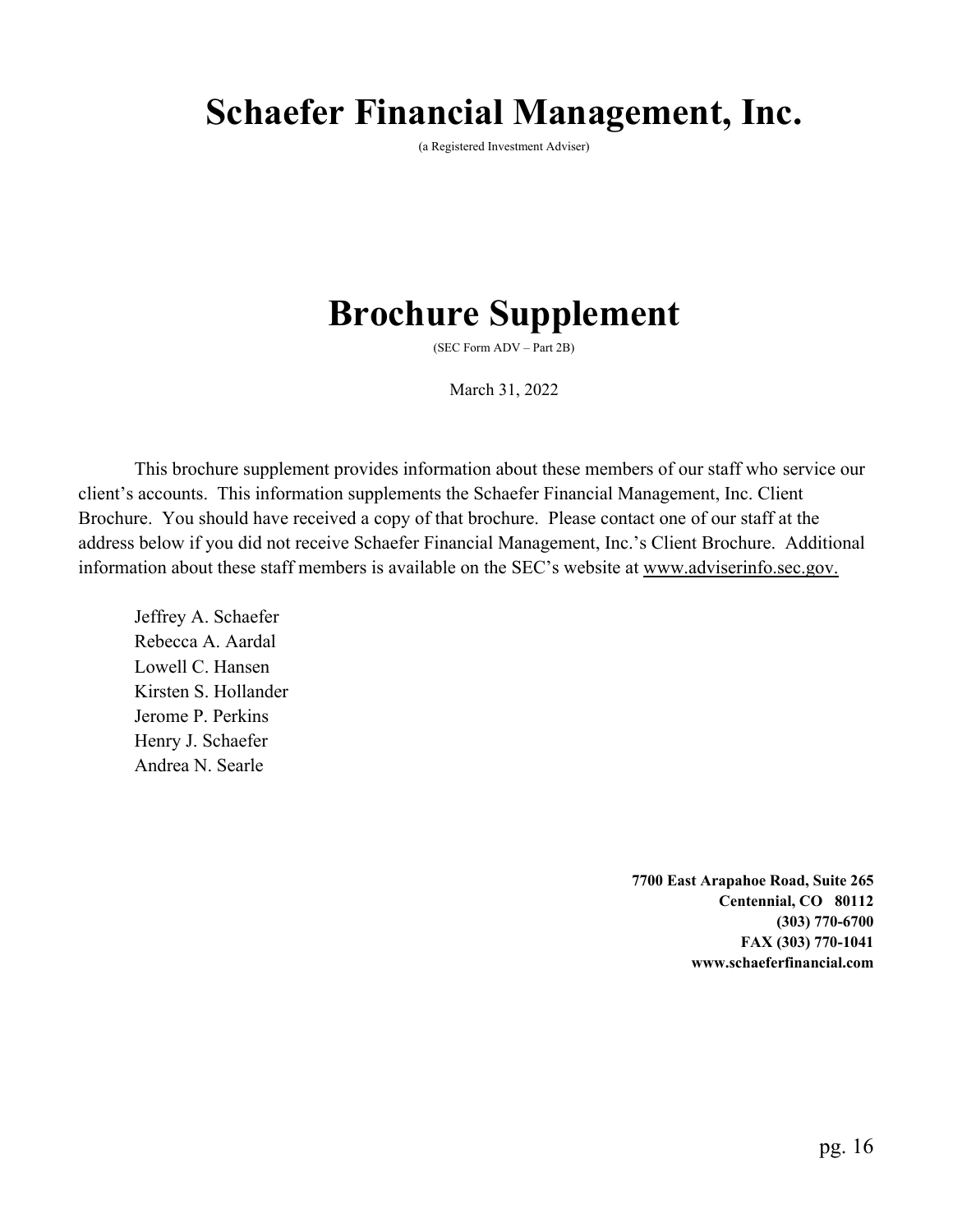# **Schaefer Financial Management, Inc.**

(a Registered Investment Adviser)

# **Brochure Supplement**

(SEC Form ADV – Part 2B)

March 31, 2022

This brochure supplement provides information about these members of our staff who service our client's accounts. This information supplements the Schaefer Financial Management, Inc. Client Brochure. You should have received a copy of that brochure. Please contact one of our staff at the address below if you did not receive Schaefer Financial Management, Inc.'s Client Brochure. Additional information about these staff members is available on the SEC's website at www.adviserinfo.sec.gov.

Jeffrey A. Schaefer Rebecca A. Aardal Lowell C. Hansen Kirsten S. Hollander Jerome P. Perkins Henry J. Schaefer Andrea N. Searle

> **7700 East Arapahoe Road, Suite 265 Centennial, CO 80112 (303) 770-6700 FAX (303) 770-1041 www.schaeferfinancial.com**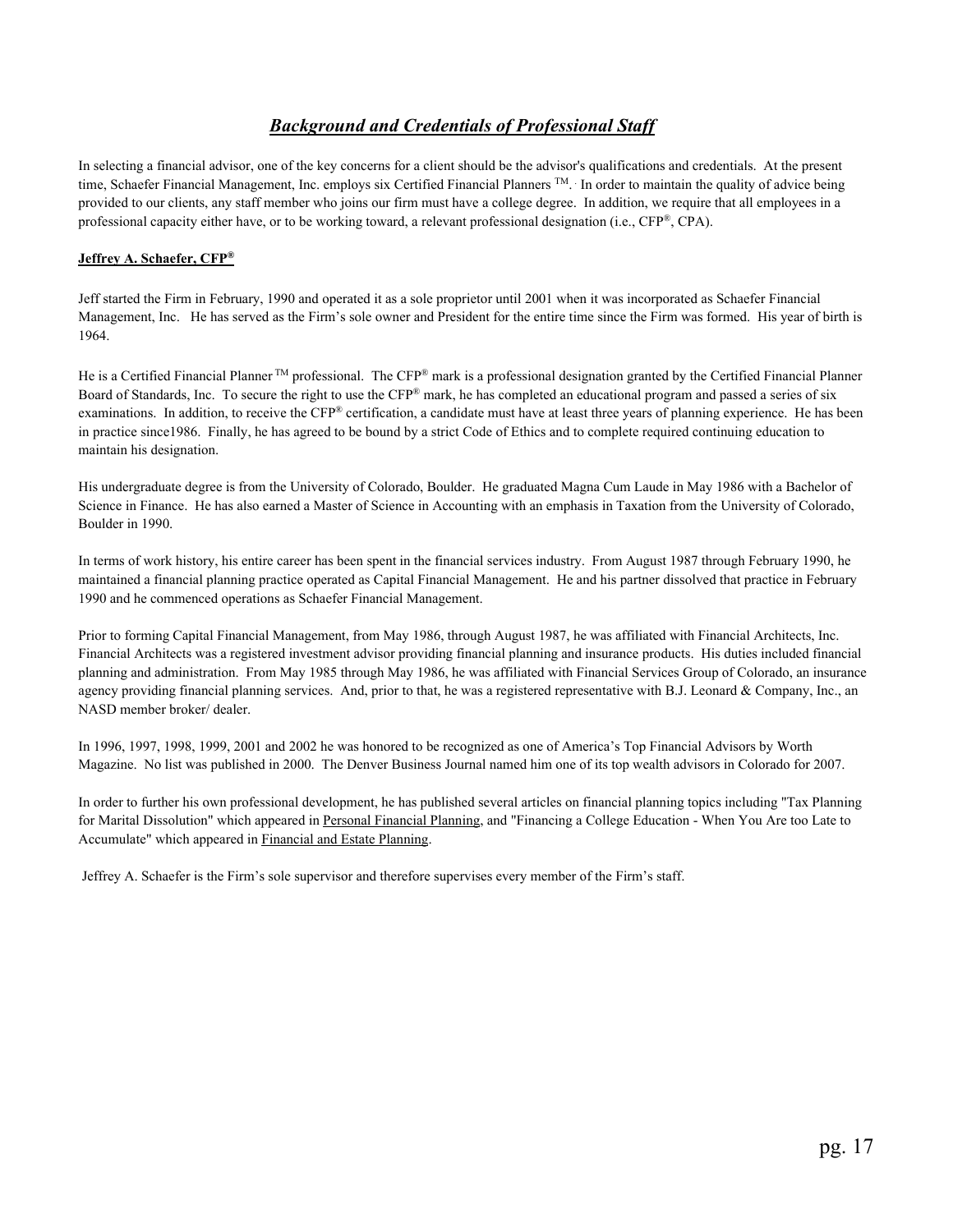## *Background and Credentials of Professional Staff*

 In selecting a financial advisor, one of the key concerns for a client should be the advisor's qualifications and credentials. At the present time, Schaefer Financial Management, Inc. employs six Certified Financial Planners <sup>TM</sup>. In order to maintain the quality of advice being provided to our clients, any staff member who joins our firm must have a college degree. In addition, we require that all employees in a professional capacity either have, or to be working toward, a relevant professional designation (i.e., CFP®, CPA).

#### **Jeffrey A. Schaefer, CFP®**

Jeff started the Firm in February, 1990 and operated it as a sole proprietor until 2001 when it was incorporated as Schaefer Financial Management, Inc. He has served as the Firm's sole owner and President for the entire time since the Firm was formed. His year of birth is 1964.

He is a Certified Financial Planner  $TM$  professional. The CFP® mark is a professional designation granted by the Certified Financial Planner Board of Standards, Inc. To secure the right to use the CFP® mark, he has completed an educational program and passed a series of six examinations. In addition, to receive the CFP® certification, a candidate must have at least three years of planning experience. He has been in practice since1986. Finally, he has agreed to be bound by a strict Code of Ethics and to complete required continuing education to maintain his designation.

 His undergraduate degree is from the University of Colorado, Boulder. He graduated Magna Cum Laude in May 1986 with a Bachelor of Science in Finance. He has also earned a Master of Science in Accounting with an emphasis in Taxation from the University of Colorado, Boulder in 1990.

 In terms of work history, his entire career has been spent in the financial services industry. From August 1987 through February 1990, he maintained a financial planning practice operated as Capital Financial Management. He and his partner dissolved that practice in February 1990 and he commenced operations as Schaefer Financial Management.

 Prior to forming Capital Financial Management, from May 1986, through August 1987, he was affiliated with Financial Architects, Inc. Financial Architects was a registered investment advisor providing financial planning and insurance products. His duties included financial planning and administration. From May 1985 through May 1986, he was affiliated with Financial Services Group of Colorado, an insurance agency providing financial planning services. And, prior to that, he was a registered representative with B.J. Leonard & Company, Inc., an NASD member broker/ dealer.

 In 1996, 1997, 1998, 1999, 2001 and 2002 he was honored to be recognized as one of America's Top Financial Advisors by Worth Magazine. No list was published in 2000. The Denver Business Journal named him one of its top wealth advisors in Colorado for 2007.

 In order to further his own professional development, he has published several articles on financial planning topics including "Tax Planning for Marital Dissolution" which appeared in Personal Financial Planning, and "Financing a College Education - When You Are too Late to Accumulate" which appeared in Financial and Estate Planning.

Jeffrey A. Schaefer is the Firm's sole supervisor and therefore supervises every member of the Firm's staff.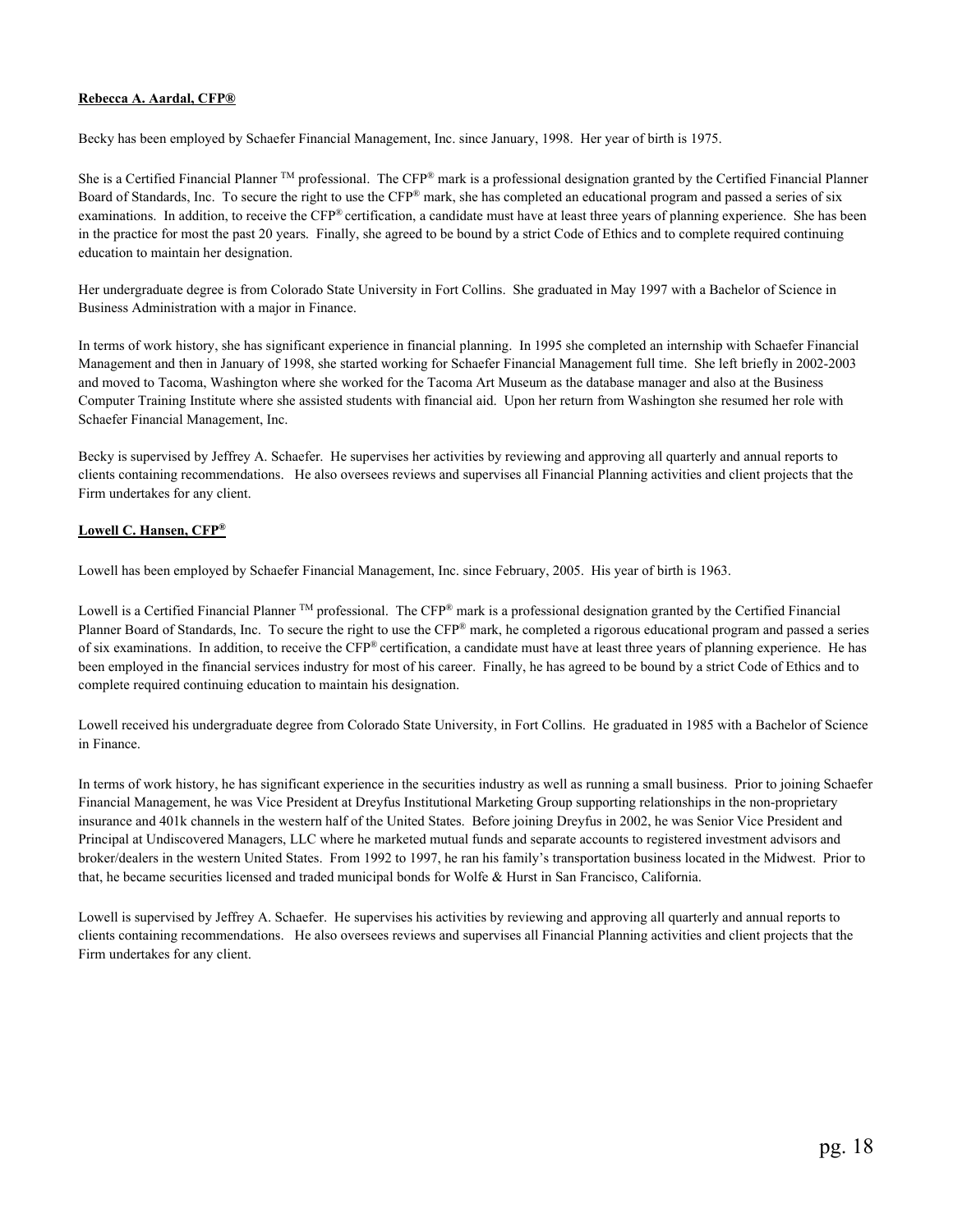#### **Rebecca A. Aardal, CFP®**

Becky has been employed by Schaefer Financial Management, Inc. since January, 1998. Her year of birth is 1975.

She is a Certified Financial Planner  $TM$  professional. The CFP® mark is a professional designation granted by the Certified Financial Planner Board of Standards, Inc. To secure the right to use the CFP® mark, she has completed an educational program and passed a series of six examinations. In addition, to receive the CFP® certification, a candidate must have at least three years of planning experience. She has been in the practice for most the past 20 years. Finally, she agreed to be bound by a strict Code of Ethics and to complete required continuing education to maintain her designation.

Her undergraduate degree is from Colorado State University in Fort Collins. She graduated in May 1997 with a Bachelor of Science in Business Administration with a major in Finance.

In terms of work history, she has significant experience in financial planning. In 1995 she completed an internship with Schaefer Financial Management and then in January of 1998, she started working for Schaefer Financial Management full time. She left briefly in 2002-2003 and moved to Tacoma, Washington where she worked for the Tacoma Art Museum as the database manager and also at the Business Computer Training Institute where she assisted students with financial aid. Upon her return from Washington she resumed her role with Schaefer Financial Management, Inc.

Becky is supervised by Jeffrey A. Schaefer. He supervises her activities by reviewing and approving all quarterly and annual reports to clients containing recommendations. He also oversees reviews and supervises all Financial Planning activities and client projects that the Firm undertakes for any client.

#### **Lowell C. Hansen, CFP®**

Lowell has been employed by Schaefer Financial Management, Inc. since February, 2005. His year of birth is 1963.

Lowell is a Certified Financial Planner  $TM$  professional. The CFP® mark is a professional designation granted by the Certified Financial Planner Board of Standards, Inc. To secure the right to use the CFP® mark, he completed a rigorous educational program and passed a series of six examinations. In addition, to receive the CFP® certification, a candidate must have at least three years of planning experience. He has been employed in the financial services industry for most of his career. Finally, he has agreed to be bound by a strict Code of Ethics and to complete required continuing education to maintain his designation.

Lowell received his undergraduate degree from Colorado State University, in Fort Collins. He graduated in 1985 with a Bachelor of Science in Finance.

In terms of work history, he has significant experience in the securities industry as well as running a small business. Prior to joining Schaefer Financial Management, he was Vice President at Dreyfus Institutional Marketing Group supporting relationships in the non-proprietary insurance and 401k channels in the western half of the United States. Before joining Dreyfus in 2002, he was Senior Vice President and Principal at Undiscovered Managers, LLC where he marketed mutual funds and separate accounts to registered investment advisors and broker/dealers in the western United States. From 1992 to 1997, he ran his family's transportation business located in the Midwest. Prior to that, he became securities licensed and traded municipal bonds for Wolfe & Hurst in San Francisco, California.

Lowell is supervised by Jeffrey A. Schaefer. He supervises his activities by reviewing and approving all quarterly and annual reports to clients containing recommendations. He also oversees reviews and supervises all Financial Planning activities and client projects that the Firm undertakes for any client.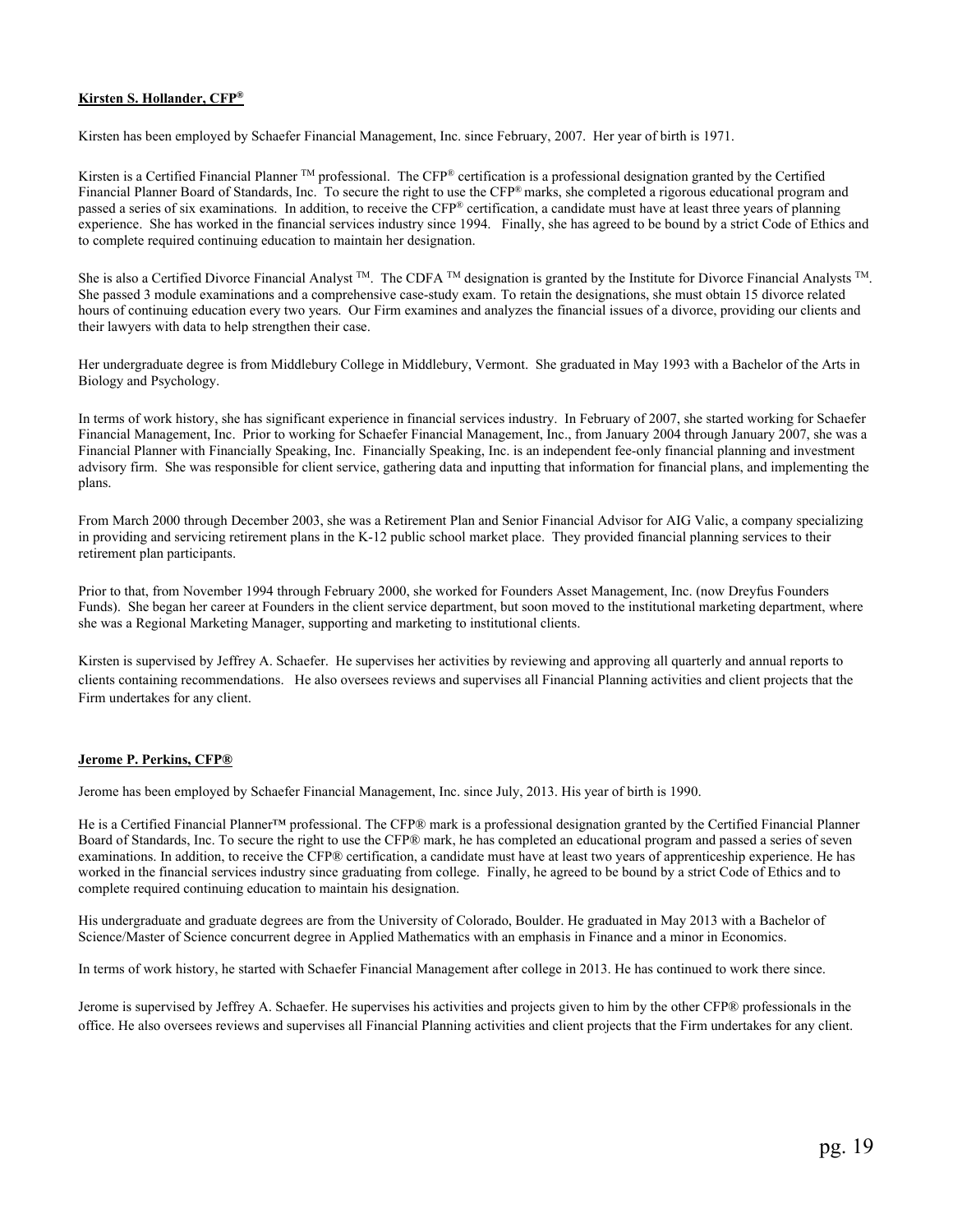#### **Kirsten S. Hollander, CFP®**

Kirsten has been employed by Schaefer Financial Management, Inc. since February, 2007. Her year of birth is 1971.

Kirsten is a Certified Financial Planner  $TM$  professional. The CFP® certification is a professional designation granted by the Certified Financial Planner Board of Standards, Inc. To secure the right to use the CFP® marks, she completed a rigorous educational program and passed a series of six examinations. In addition, to receive the CFP® certification, a candidate must have at least three years of planning experience. She has worked in the financial services industry since 1994. Finally, she has agreed to be bound by a strict Code of Ethics and to complete required continuing education to maintain her designation.

She is also a Certified Divorce Financial Analyst  $TM$ . The CDFA  $TM$  designation is granted by the Institute for Divorce Financial Analysts  $TM$ . She passed 3 module examinations and a comprehensive case-study exam. To retain the designations, she must obtain 15 divorce related hours of continuing education every two years. Our Firm examines and analyzes the financial issues of a divorce, providing our clients and their lawyers with data to help strengthen their case.

Her undergraduate degree is from Middlebury College in Middlebury, Vermont. She graduated in May 1993 with a Bachelor of the Arts in Biology and Psychology.

In terms of work history, she has significant experience in financial services industry. In February of 2007, she started working for Schaefer Financial Management, Inc. Prior to working for Schaefer Financial Management, Inc., from January 2004 through January 2007, she was a Financial Planner with Financially Speaking, Inc. Financially Speaking, Inc. is an independent fee-only financial planning and investment advisory firm. She was responsible for client service, gathering data and inputting that information for financial plans, and implementing the plans.

From March 2000 through December 2003, she was a Retirement Plan and Senior Financial Advisor for AIG Valic, a company specializing in providing and servicing retirement plans in the K-12 public school market place. They provided financial planning services to their retirement plan participants.

Prior to that, from November 1994 through February 2000, she worked for Founders Asset Management, Inc. (now Dreyfus Founders Funds). She began her career at Founders in the client service department, but soon moved to the institutional marketing department, where she was a Regional Marketing Manager, supporting and marketing to institutional clients.

Kirsten is supervised by Jeffrey A. Schaefer. He supervises her activities by reviewing and approving all quarterly and annual reports to clients containing recommendations. He also oversees reviews and supervises all Financial Planning activities and client projects that the Firm undertakes for any client.

#### **Jerome P. Perkins, CFP®**

Jerome has been employed by Schaefer Financial Management, Inc. since July, 2013. His year of birth is 1990.

He is a Certified Financial Planner™ professional. The CFP® mark is a professional designation granted by the Certified Financial Planner Board of Standards, Inc. To secure the right to use the CFP® mark, he has completed an educational program and passed a series of seven examinations. In addition, to receive the CFP® certification, a candidate must have at least two years of apprenticeship experience. He has worked in the financial services industry since graduating from college. Finally, he agreed to be bound by a strict Code of Ethics and to complete required continuing education to maintain his designation.

His undergraduate and graduate degrees are from the University of Colorado, Boulder. He graduated in May 2013 with a Bachelor of Science/Master of Science concurrent degree in Applied Mathematics with an emphasis in Finance and a minor in Economics.

In terms of work history, he started with Schaefer Financial Management after college in 2013. He has continued to work there since.

Jerome is supervised by Jeffrey A. Schaefer. He supervises his activities and projects given to him by the other CFP® professionals in the office. He also oversees reviews and supervises all Financial Planning activities and client projects that the Firm undertakes for any client.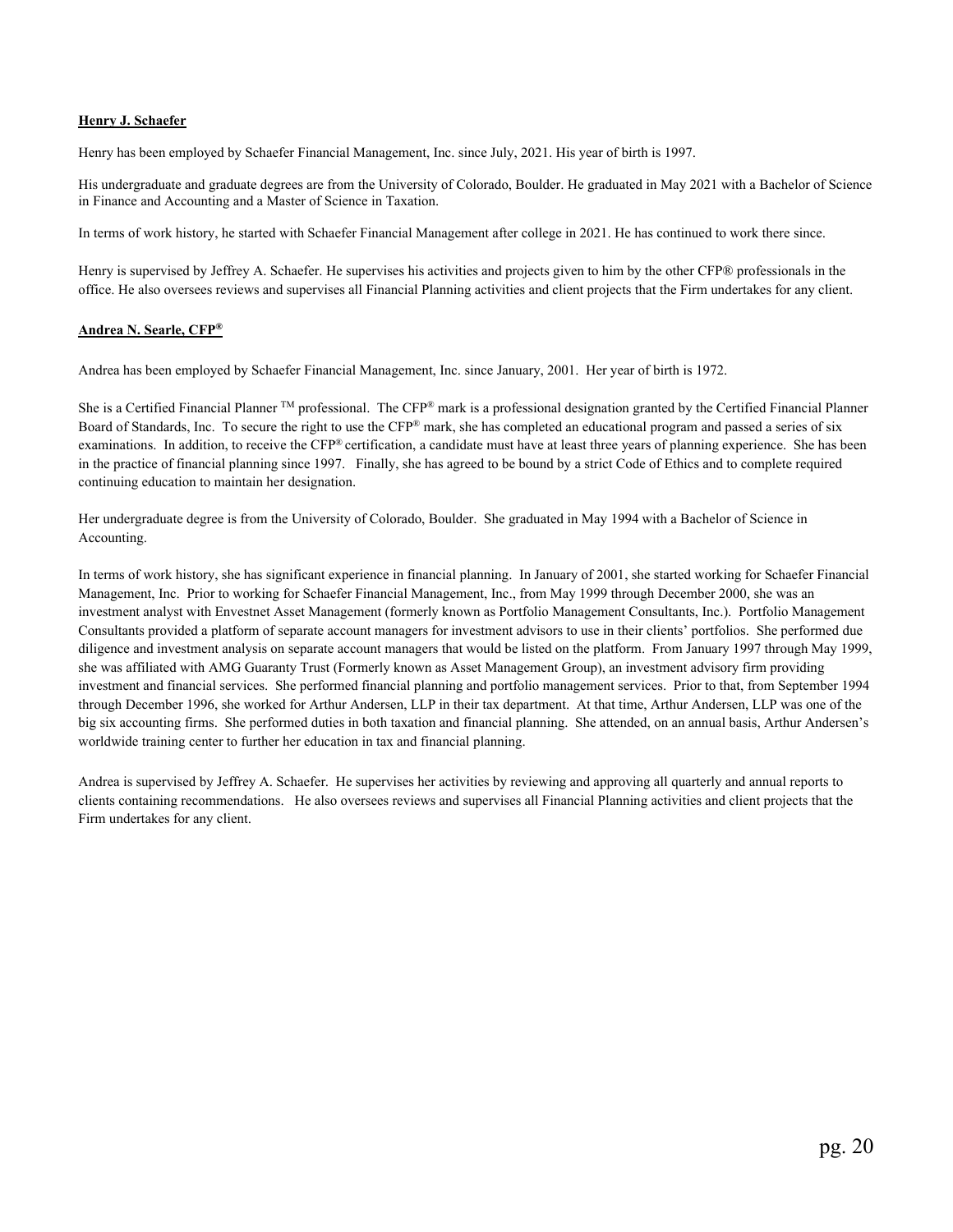#### **Henry J. Schaefer**

Henry has been employed by Schaefer Financial Management, Inc. since July, 2021. His year of birth is 1997.

His undergraduate and graduate degrees are from the University of Colorado, Boulder. He graduated in May 2021 with a Bachelor of Science in Finance and Accounting and a Master of Science in Taxation.

In terms of work history, he started with Schaefer Financial Management after college in 2021. He has continued to work there since.

Henry is supervised by Jeffrey A. Schaefer. He supervises his activities and projects given to him by the other CFP® professionals in the office. He also oversees reviews and supervises all Financial Planning activities and client projects that the Firm undertakes for any client.

#### **Andrea N. Searle, CFP®**

Andrea has been employed by Schaefer Financial Management, Inc. since January, 2001. Her year of birth is 1972.

She is a Certified Financial Planner TM professional. The CFP® mark is a professional designation granted by the Certified Financial Planner Board of Standards, Inc. To secure the right to use the CFP® mark, she has completed an educational program and passed a series of six examinations. In addition, to receive the CFP® certification, a candidate must have at least three years of planning experience. She has been in the practice of financial planning since 1997. Finally, she has agreed to be bound by a strict Code of Ethics and to complete required continuing education to maintain her designation.

Her undergraduate degree is from the University of Colorado, Boulder. She graduated in May 1994 with a Bachelor of Science in Accounting.

 In terms of work history, she has significant experience in financial planning. In January of 2001, she started working for Schaefer Financial Management, Inc. Prior to working for Schaefer Financial Management, Inc., from May 1999 through December 2000, she was an investment analyst with Envestnet Asset Management (formerly known as Portfolio Management Consultants, Inc.). Portfolio Management Consultants provided a platform of separate account managers for investment advisors to use in their clients' portfolios. She performed due diligence and investment analysis on separate account managers that would be listed on the platform. From January 1997 through May 1999, she was affiliated with AMG Guaranty Trust (Formerly known as Asset Management Group), an investment advisory firm providing investment and financial services. She performed financial planning and portfolio management services. Prior to that, from September 1994 through December 1996, she worked for Arthur Andersen, LLP in their tax department. At that time, Arthur Andersen, LLP was one of the big six accounting firms. She performed duties in both taxation and financial planning. She attended, on an annual basis, Arthur Andersen's worldwide training center to further her education in tax and financial planning.

Andrea is supervised by Jeffrey A. Schaefer. He supervises her activities by reviewing and approving all quarterly and annual reports to clients containing recommendations. He also oversees reviews and supervises all Financial Planning activities and client projects that the Firm undertakes for any client.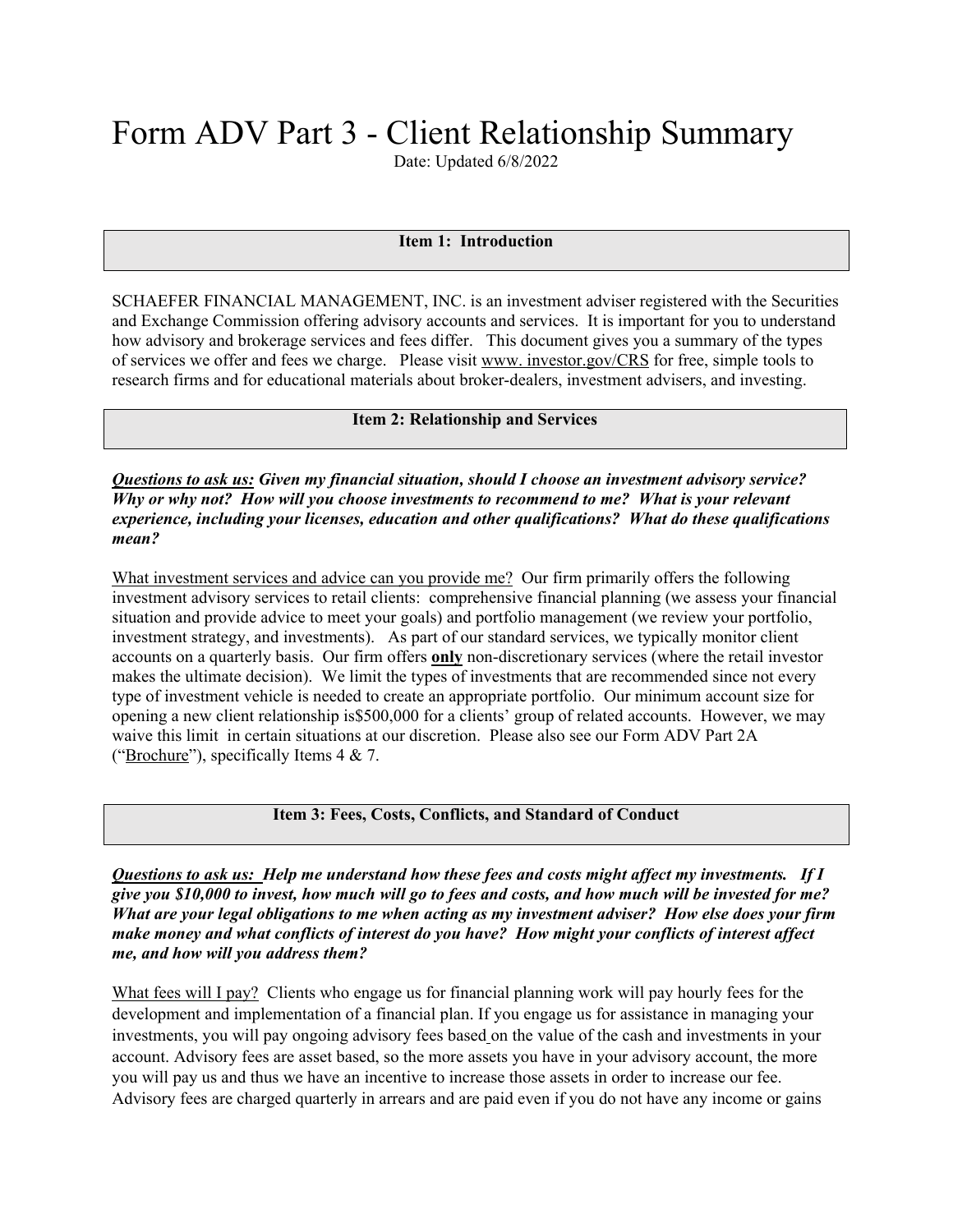# Form ADV Part 3 - Client Relationship Summary

Date: Updated 6/8/2022

#### **Item 1: Introduction**

SCHAEFER FINANCIAL MANAGEMENT, INC. is an investment adviser registered with the Securities and Exchange Commission offering advisory accounts and services. It is important for you to understand how advisory and brokerage services and fees differ. This document gives you a summary of the types of services we offer and fees we charge. Please visit www. investor.gov/CRS for free, simple tools to research firms and for educational materials about broker-dealers, investment advisers, and investing.

**Item 2: Relationship and Services** 

*Questions to ask us: Given my financial situation, should I choose an investment advisory service? Why or why not? How will you choose investments to recommend to me? What is your relevant experience, including your licenses, education and other qualifications? What do these qualifications mean?* 

What investment services and advice can you provide me? Our firm primarily offers the following investment advisory services to retail clients: comprehensive financial planning (we assess your financial situation and provide advice to meet your goals) and portfolio management (we review your portfolio, investment strategy, and investments). As part of our standard services, we typically monitor client accounts on a quarterly basis. Our firm offers **only** non-discretionary services (where the retail investor makes the ultimate decision). We limit the types of investments that are recommended since not every type of investment vehicle is needed to create an appropriate portfolio. Our minimum account size for opening a new client relationship is\$500,000 for a clients' group of related accounts. However, we may waive this limit in certain situations at our discretion. Please also see our Form ADV Part 2A ("Brochure"), specifically Items 4 & 7.

#### **Item 3: Fees, Costs, Conflicts, and Standard of Conduct**

*Questions to ask us: Help me understand how these fees and costs might affect my investments. If I give you \$10,000 to invest, how much will go to fees and costs, and how much will be invested for me? What are your legal obligations to me when acting as my investment adviser? How else does your firm make money and what conflicts of interest do you have? How might your conflicts of interest affect me, and how will you address them?* 

What fees will I pay? Clients who engage us for financial planning work will pay hourly fees for the development and implementation of a financial plan. If you engage us for assistance in managing your investments, you will pay ongoing advisory fees based on the value of the cash and investments in your account. Advisory fees are asset based, so the more assets you have in your advisory account, the more you will pay us and thus we have an incentive to increase those assets in order to increase our fee. Advisory fees are charged quarterly in arrears and are paid even if you do not have any income or gains